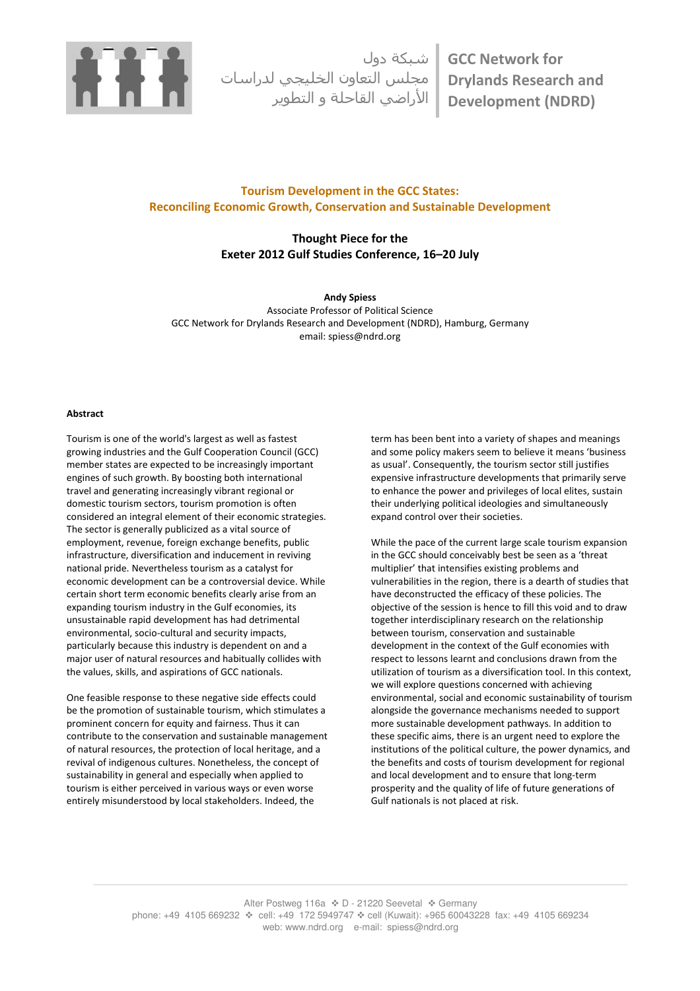

شبكة دول مجلس التعاون الخليجي لدراسات الأراضي القاحلة و التطوير GCC Network for Drylands Research and Development (NDRD)

# Tourism Development in the GCC States: Reconciling Economic Growth, Conservation and Sustainable Development

# Thought Piece for the Exeter 2012 Gulf Studies Conference, 16–20 July

Andy Spiess Associate Professor of Political Science GCC Network for Drylands Research and Development (NDRD), Hamburg, Germany email: spiess@ndrd.org

## Abstract

Tourism is one of the world's largest as well as fastest growing industries and the Gulf Cooperation Council (GCC) member states are expected to be increasingly important engines of such growth. By boosting both international travel and generating increasingly vibrant regional or domestic tourism sectors, tourism promotion is often considered an integral element of their economic strategies. The sector is generally publicized as a vital source of employment, revenue, foreign exchange benefits, public infrastructure, diversification and inducement in reviving national pride. Nevertheless tourism as a catalyst for economic development can be a controversial device. While certain short term economic benefits clearly arise from an expanding tourism industry in the Gulf economies, its unsustainable rapid development has had detrimental environmental, socio-cultural and security impacts, particularly because this industry is dependent on and a major user of natural resources and habitually collides with the values, skills, and aspirations of GCC nationals.

One feasible response to these negative side effects could be the promotion of sustainable tourism, which stimulates a prominent concern for equity and fairness. Thus it can contribute to the conservation and sustainable management of natural resources, the protection of local heritage, and a revival of indigenous cultures. Nonetheless, the concept of sustainability in general and especially when applied to tourism is either perceived in various ways or even worse entirely misunderstood by local stakeholders. Indeed, the

term has been bent into a variety of shapes and meanings and some policy makers seem to believe it means 'business as usual'. Consequently, the tourism sector still justifies expensive infrastructure developments that primarily serve to enhance the power and privileges of local elites, sustain their underlying political ideologies and simultaneously expand control over their societies.

While the pace of the current large scale tourism expansion in the GCC should conceivably best be seen as a 'threat multiplier' that intensifies existing problems and vulnerabilities in the region, there is a dearth of studies that have deconstructed the efficacy of these policies. The objective of the session is hence to fill this void and to draw together interdisciplinary research on the relationship between tourism, conservation and sustainable development in the context of the Gulf economies with respect to lessons learnt and conclusions drawn from the utilization of tourism as a diversification tool. In this context, we will explore questions concerned with achieving environmental, social and economic sustainability of tourism alongside the governance mechanisms needed to support more sustainable development pathways. In addition to these specific aims, there is an urgent need to explore the institutions of the political culture, the power dynamics, and the benefits and costs of tourism development for regional and local development and to ensure that long-term prosperity and the quality of life of future generations of Gulf nationals is not placed at risk.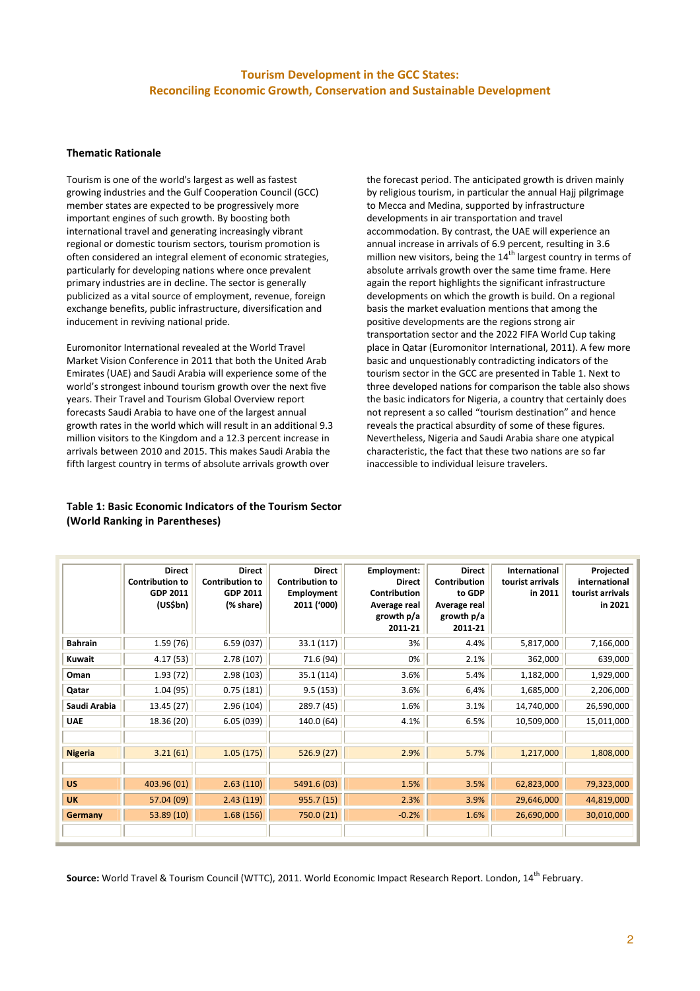# Tourism Development in the GCC States: Reconciling Economic Growth, Conservation and Sustainable Development

# Thematic Rationale

Tourism is one of the world's largest as well as fastest growing industries and the Gulf Cooperation Council (GCC) member states are expected to be progressively more important engines of such growth. By boosting both international travel and generating increasingly vibrant regional or domestic tourism sectors, tourism promotion is often considered an integral element of economic strategies, particularly for developing nations where once prevalent primary industries are in decline. The sector is generally publicized as a vital source of employment, revenue, foreign exchange benefits, public infrastructure, diversification and inducement in reviving national pride.

Euromonitor International revealed at the World Travel Market Vision Conference in 2011 that both the United Arab Emirates (UAE) and Saudi Arabia will experience some of the world's strongest inbound tourism growth over the next five years. Their Travel and Tourism Global Overview report forecasts Saudi Arabia to have one of the largest annual growth rates in the world which will result in an additional 9.3 million visitors to the Kingdom and a 12.3 percent increase in arrivals between 2010 and 2015. This makes Saudi Arabia the fifth largest country in terms of absolute arrivals growth over

# Table 1: Basic Economic Indicators of the Tourism Sector (World Ranking in Parentheses)

the forecast period. The anticipated growth is driven mainly by religious tourism, in particular the annual Hajj pilgrimage to Mecca and Medina, supported by infrastructure developments in air transportation and travel accommodation. By contrast, the UAE will experience an annual increase in arrivals of 6.9 percent, resulting in 3.6 million new visitors, being the  $14<sup>th</sup>$  largest country in terms of absolute arrivals growth over the same time frame. Here again the report highlights the significant infrastructure developments on which the growth is build. On a regional basis the market evaluation mentions that among the positive developments are the regions strong air transportation sector and the 2022 FIFA World Cup taking place in Qatar (Euromonitor International, 2011). A few more basic and unquestionably contradicting indicators of the tourism sector in the GCC are presented in Table 1. Next to three developed nations for comparison the table also shows the basic indicators for Nigeria, a country that certainly does not represent a so called "tourism destination" and hence reveals the practical absurdity of some of these figures. Nevertheless, Nigeria and Saudi Arabia share one atypical characteristic, the fact that these two nations are so far inaccessible to individual leisure travelers.

|                | <b>Direct</b><br><b>Contribution to</b><br>GDP 2011<br>(US\$bn) | <b>Direct</b><br><b>Contribution to</b><br>GDP 2011<br>(% share) | <b>Direct</b><br><b>Contribution to</b><br>Employment<br>2011 ('000) | Employment:<br><b>Direct</b><br><b>Contribution</b><br>Average real<br>growth p/a<br>2011-21 | <b>Direct</b><br>Contribution<br>to GDP<br>Average real<br>growth p/a<br>2011-21 | International<br>tourist arrivals<br>in 2011 | Projected<br>international<br>tourist arrivals<br>in 2021 |
|----------------|-----------------------------------------------------------------|------------------------------------------------------------------|----------------------------------------------------------------------|----------------------------------------------------------------------------------------------|----------------------------------------------------------------------------------|----------------------------------------------|-----------------------------------------------------------|
| <b>Bahrain</b> | 1.59(76)                                                        | 6.59(037)                                                        | 33.1 (117)                                                           | 3%                                                                                           | 4.4%                                                                             | 5,817,000                                    | 7,166,000                                                 |
| Kuwait         | 4.17(53)                                                        | 2.78(107)                                                        | 71.6 (94)                                                            | 0%                                                                                           | 2.1%                                                                             | 362,000                                      | 639,000                                                   |
| Oman           | 1.93(72)                                                        | 2.98(103)                                                        | 35.1 (114)                                                           | 3.6%                                                                                         | 5.4%                                                                             | 1,182,000                                    | 1,929,000                                                 |
| Qatar          | 1.04(95)                                                        | 0.75(181)                                                        | 9.5(153)                                                             | 3.6%                                                                                         | 6,4%                                                                             | 1,685,000                                    | 2,206,000                                                 |
| Saudi Arabia   | 13.45 (27)                                                      | 2.96(104)                                                        | 289.7 (45)                                                           | 1.6%                                                                                         | 3.1%                                                                             | 14,740,000                                   | 26,590,000                                                |
| <b>UAE</b>     | 18.36 (20)                                                      | 6.05(039)                                                        | 140.0 (64)                                                           | 4.1%                                                                                         | 6.5%                                                                             | 10,509,000                                   | 15,011,000                                                |
|                |                                                                 |                                                                  |                                                                      |                                                                                              |                                                                                  |                                              |                                                           |
| <b>Nigeria</b> | 3.21(61)                                                        | 1.05(175)                                                        | 526.9(27)                                                            | 2.9%                                                                                         | 5.7%                                                                             | 1,217,000                                    | 1,808,000                                                 |
|                |                                                                 |                                                                  |                                                                      |                                                                                              |                                                                                  |                                              |                                                           |
| <b>US</b>      | 403.96 (01)                                                     | 2.63(110)                                                        | 5491.6 (03)                                                          | 1.5%                                                                                         | 3.5%                                                                             | 62,823,000                                   | 79,323,000                                                |
| <b>UK</b>      | 57.04 (09)                                                      | 2.43(119)                                                        | 955.7 (15)                                                           | 2.3%                                                                                         | 3.9%                                                                             | 29,646,000                                   | 44,819,000                                                |
| Germany        | 53.89(10)                                                       | 1.68(156)                                                        | 750.0 (21)                                                           | $-0.2%$                                                                                      | 1.6%                                                                             | 26,690,000                                   | 30,010,000                                                |
|                |                                                                 |                                                                  |                                                                      |                                                                                              |                                                                                  |                                              |                                                           |

Source: World Travel & Tourism Council (WTTC), 2011. World Economic Impact Research Report. London, 14th February.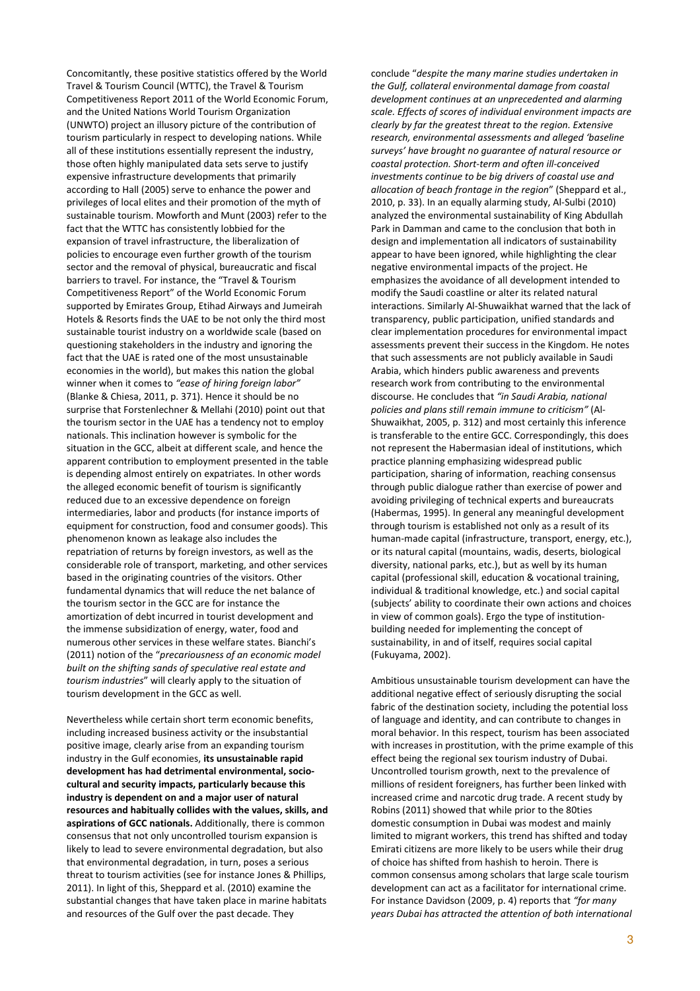Concomitantly, these positive statistics offered by the World Travel & Tourism Council (WTTC), the Travel & Tourism Competitiveness Report 2011 of the World Economic Forum, and the United Nations World Tourism Organization (UNWTO) project an illusory picture of the contribution of tourism particularly in respect to developing nations. While all of these institutions essentially represent the industry, those often highly manipulated data sets serve to justify expensive infrastructure developments that primarily according to Hall (2005) serve to enhance the power and privileges of local elites and their promotion of the myth of sustainable tourism. Mowforth and Munt (2003) refer to the fact that the WTTC has consistently lobbied for the expansion of travel infrastructure, the liberalization of policies to encourage even further growth of the tourism sector and the removal of physical, bureaucratic and fiscal barriers to travel. For instance, the "Travel & Tourism Competitiveness Report" of the World Economic Forum supported by Emirates Group, Etihad Airways and Jumeirah Hotels & Resorts finds the UAE to be not only the third most sustainable tourist industry on a worldwide scale (based on questioning stakeholders in the industry and ignoring the fact that the UAE is rated one of the most unsustainable economies in the world), but makes this nation the global winner when it comes to "ease of hiring foreign labor" (Blanke & Chiesa, 2011, p. 371). Hence it should be no surprise that Forstenlechner & Mellahi (2010) point out that the tourism sector in the UAE has a tendency not to employ nationals. This inclination however is symbolic for the situation in the GCC, albeit at different scale, and hence the apparent contribution to employment presented in the table is depending almost entirely on expatriates. In other words the alleged economic benefit of tourism is significantly reduced due to an excessive dependence on foreign intermediaries, labor and products (for instance imports of equipment for construction, food and consumer goods). This phenomenon known as leakage also includes the repatriation of returns by foreign investors, as well as the considerable role of transport, marketing, and other services based in the originating countries of the visitors. Other fundamental dynamics that will reduce the net balance of the tourism sector in the GCC are for instance the amortization of debt incurred in tourist development and the immense subsidization of energy, water, food and numerous other services in these welfare states. Bianchi's (2011) notion of the "precariousness of an economic model built on the shifting sands of speculative real estate and tourism industries" will clearly apply to the situation of tourism development in the GCC as well.

Nevertheless while certain short term economic benefits, including increased business activity or the insubstantial positive image, clearly arise from an expanding tourism industry in the Gulf economies, its unsustainable rapid development has had detrimental environmental, sociocultural and security impacts, particularly because this industry is dependent on and a major user of natural resources and habitually collides with the values, skills, and aspirations of GCC nationals. Additionally, there is common consensus that not only uncontrolled tourism expansion is likely to lead to severe environmental degradation, but also that environmental degradation, in turn, poses a serious threat to tourism activities (see for instance Jones & Phillips, 2011). In light of this, Sheppard et al. (2010) examine the substantial changes that have taken place in marine habitats and resources of the Gulf over the past decade. They

conclude "despite the many marine studies undertaken in the Gulf, collateral environmental damage from coastal development continues at an unprecedented and alarming scale. Effects of scores of individual environment impacts are clearly by far the greatest threat to the region. Extensive research, environmental assessments and alleged 'baseline surveys' have brought no guarantee of natural resource or coastal protection. Short-term and often ill-conceived investments continue to be big drivers of coastal use and allocation of beach frontage in the region" (Sheppard et al., 2010, p. 33). In an equally alarming study, Al-Sulbi (2010) analyzed the environmental sustainability of King Abdullah Park in Damman and came to the conclusion that both in design and implementation all indicators of sustainability appear to have been ignored, while highlighting the clear negative environmental impacts of the project. He emphasizes the avoidance of all development intended to modify the Saudi coastline or alter its related natural interactions. Similarly Al-Shuwaikhat warned that the lack of transparency, public participation, unified standards and clear implementation procedures for environmental impact assessments prevent their success in the Kingdom. He notes that such assessments are not publicly available in Saudi Arabia, which hinders public awareness and prevents research work from contributing to the environmental discourse. He concludes that "in Saudi Arabia, national policies and plans still remain immune to criticism" (Al-Shuwaikhat, 2005, p. 312) and most certainly this inference is transferable to the entire GCC. Correspondingly, this does not represent the Habermasian ideal of institutions, which practice planning emphasizing widespread public participation, sharing of information, reaching consensus through public dialogue rather than exercise of power and avoiding privileging of technical experts and bureaucrats (Habermas, 1995). In general any meaningful development through tourism is established not only as a result of its human-made capital (infrastructure, transport, energy, etc.), or its natural capital (mountains, wadis, deserts, biological diversity, national parks, etc.), but as well by its human capital (professional skill, education & vocational training, individual & traditional knowledge, etc.) and social capital (subjects' ability to coordinate their own actions and choices in view of common goals). Ergo the type of institutionbuilding needed for implementing the concept of sustainability, in and of itself, requires social capital (Fukuyama, 2002).

Ambitious unsustainable tourism development can have the additional negative effect of seriously disrupting the social fabric of the destination society, including the potential loss of language and identity, and can contribute to changes in moral behavior. In this respect, tourism has been associated with increases in prostitution, with the prime example of this effect being the regional sex tourism industry of Dubai. Uncontrolled tourism growth, next to the prevalence of millions of resident foreigners, has further been linked with increased crime and narcotic drug trade. A recent study by Robins (2011) showed that while prior to the 80ties domestic consumption in Dubai was modest and mainly limited to migrant workers, this trend has shifted and today Emirati citizens are more likely to be users while their drug of choice has shifted from hashish to heroin. There is common consensus among scholars that large scale tourism development can act as a facilitator for international crime. For instance Davidson (2009, p. 4) reports that "for many years Dubai has attracted the attention of both international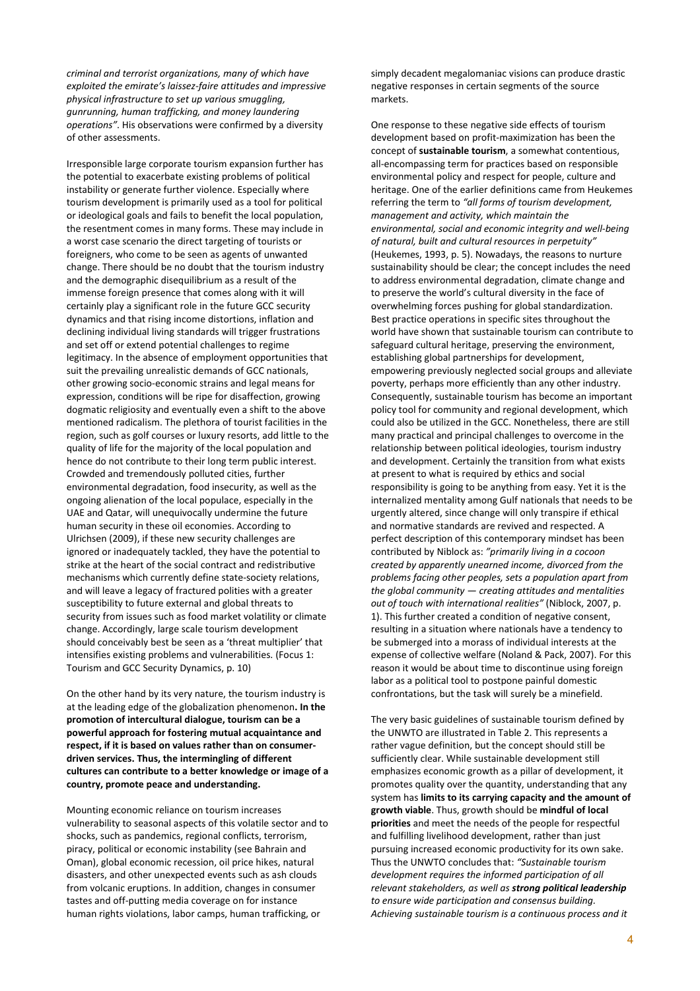criminal and terrorist organizations, many of which have exploited the emirate's laissez-faire attitudes and impressive physical infrastructure to set up various smuggling, gunrunning, human trafficking, and money laundering operations". His observations were confirmed by a diversity of other assessments.

Irresponsible large corporate tourism expansion further has the potential to exacerbate existing problems of political instability or generate further violence. Especially where tourism development is primarily used as a tool for political or ideological goals and fails to benefit the local population, the resentment comes in many forms. These may include in a worst case scenario the direct targeting of tourists or foreigners, who come to be seen as agents of unwanted change. There should be no doubt that the tourism industry and the demographic disequilibrium as a result of the immense foreign presence that comes along with it will certainly play a significant role in the future GCC security dynamics and that rising income distortions, inflation and declining individual living standards will trigger frustrations and set off or extend potential challenges to regime legitimacy. In the absence of employment opportunities that suit the prevailing unrealistic demands of GCC nationals, other growing socio-economic strains and legal means for expression, conditions will be ripe for disaffection, growing dogmatic religiosity and eventually even a shift to the above mentioned radicalism. The plethora of tourist facilities in the region, such as golf courses or luxury resorts, add little to the quality of life for the majority of the local population and hence do not contribute to their long term public interest. Crowded and tremendously polluted cities, further environmental degradation, food insecurity, as well as the ongoing alienation of the local populace, especially in the UAE and Qatar, will unequivocally undermine the future human security in these oil economies. According to Ulrichsen (2009), if these new security challenges are ignored or inadequately tackled, they have the potential to strike at the heart of the social contract and redistributive mechanisms which currently define state-society relations, and will leave a legacy of fractured polities with a greater susceptibility to future external and global threats to security from issues such as food market volatility or climate change. Accordingly, large scale tourism development should conceivably best be seen as a 'threat multiplier' that intensifies existing problems and vulnerabilities. (Focus 1: Tourism and GCC Security Dynamics, p. 10)

On the other hand by its very nature, the tourism industry is at the leading edge of the globalization phenomenon. In the promotion of intercultural dialogue, tourism can be a powerful approach for fostering mutual acquaintance and respect, if it is based on values rather than on consumerdriven services. Thus, the intermingling of different cultures can contribute to a better knowledge or image of a country, promote peace and understanding.

Mounting economic reliance on tourism increases vulnerability to seasonal aspects of this volatile sector and to shocks, such as pandemics, regional conflicts, terrorism, piracy, political or economic instability (see Bahrain and Oman), global economic recession, oil price hikes, natural disasters, and other unexpected events such as ash clouds from volcanic eruptions. In addition, changes in consumer tastes and off-putting media coverage on for instance human rights violations, labor camps, human trafficking, or

simply decadent megalomaniac visions can produce drastic negative responses in certain segments of the source markets.

One response to these negative side effects of tourism development based on profit-maximization has been the concept of sustainable tourism, a somewhat contentious, all-encompassing term for practices based on responsible environmental policy and respect for people, culture and heritage. One of the earlier definitions came from Heukemes referring the term to "all forms of tourism development, management and activity, which maintain the environmental, social and economic integrity and well-being of natural, built and cultural resources in perpetuity" (Heukemes, 1993, p. 5). Nowadays, the reasons to nurture sustainability should be clear; the concept includes the need to address environmental degradation, climate change and to preserve the world's cultural diversity in the face of overwhelming forces pushing for global standardization. Best practice operations in specific sites throughout the world have shown that sustainable tourism can contribute to safeguard cultural heritage, preserving the environment, establishing global partnerships for development, empowering previously neglected social groups and alleviate poverty, perhaps more efficiently than any other industry. Consequently, sustainable tourism has become an important policy tool for community and regional development, which could also be utilized in the GCC. Nonetheless, there are still many practical and principal challenges to overcome in the relationship between political ideologies, tourism industry and development. Certainly the transition from what exists at present to what is required by ethics and social responsibility is going to be anything from easy. Yet it is the internalized mentality among Gulf nationals that needs to be urgently altered, since change will only transpire if ethical and normative standards are revived and respected. A perfect description of this contemporary mindset has been contributed by Niblock as: "primarily living in a cocoon created by apparently unearned income, divorced from the problems facing other peoples, sets a population apart from the global community  $-$  creating attitudes and mentalities out of touch with international realities" (Niblock, 2007, p. 1). This further created a condition of negative consent, resulting in a situation where nationals have a tendency to be submerged into a morass of individual interests at the expense of collective welfare (Noland & Pack, 2007). For this reason it would be about time to discontinue using foreign labor as a political tool to postpone painful domestic confrontations, but the task will surely be a minefield.

The very basic guidelines of sustainable tourism defined by the UNWTO are illustrated in Table 2. This represents a rather vague definition, but the concept should still be sufficiently clear. While sustainable development still emphasizes economic growth as a pillar of development, it promotes quality over the quantity, understanding that any system has limits to its carrying capacity and the amount of growth viable. Thus, growth should be mindful of local priorities and meet the needs of the people for respectful and fulfilling livelihood development, rather than just pursuing increased economic productivity for its own sake. Thus the UNWTO concludes that: "Sustainable tourism development requires the informed participation of all relevant stakeholders, as well as strong political leadership to ensure wide participation and consensus building. Achieving sustainable tourism is a continuous process and it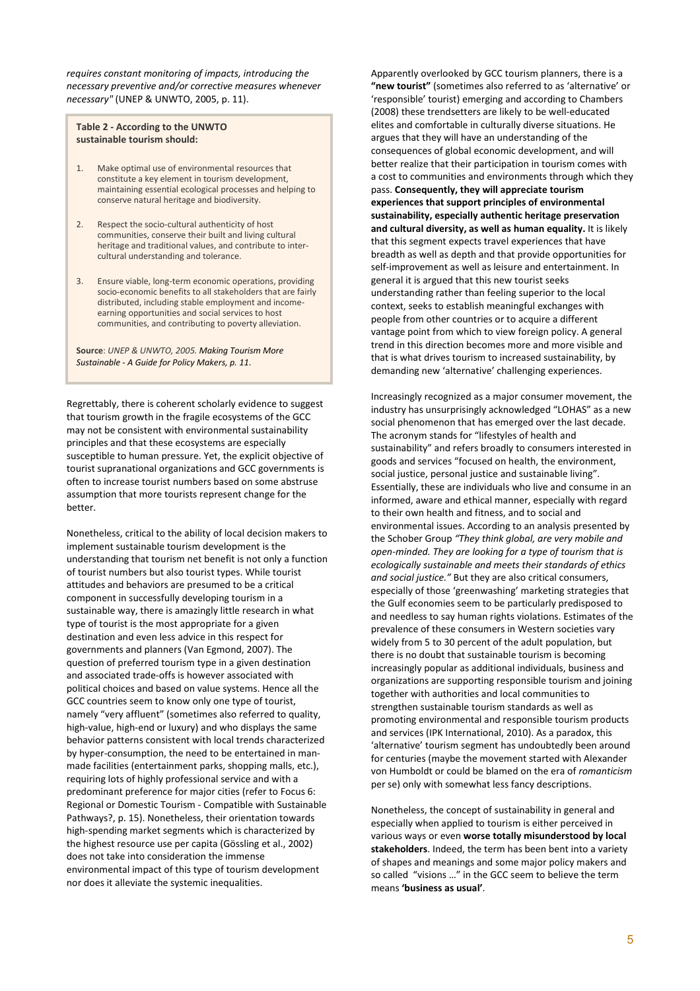requires constant monitoring of impacts, introducing the necessary preventive and/or corrective measures whenever necessary" (UNEP & UNWTO, 2005, p. 11).

Table 2 - According to the UNWTO sustainable tourism should:

- 1. Make optimal use of environmental resources that constitute a key element in tourism development, maintaining essential ecological processes and helping to conserve natural heritage and biodiversity.
- 2. Respect the socio-cultural authenticity of host communities, conserve their built and living cultural heritage and traditional values, and contribute to intercultural understanding and tolerance.
- 3. Ensure viable, long-term economic operations, providing socio-economic benefits to all stakeholders that are fairly distributed, including stable employment and incomeearning opportunities and social services to host communities, and contributing to poverty alleviation.

Source: UNEP & UNWTO, 2005. Making Tourism More Sustainable - A Guide for Policy Makers, p. 11.

Regrettably, there is coherent scholarly evidence to suggest that tourism growth in the fragile ecosystems of the GCC may not be consistent with environmental sustainability principles and that these ecosystems are especially susceptible to human pressure. Yet, the explicit objective of tourist supranational organizations and GCC governments is often to increase tourist numbers based on some abstruse assumption that more tourists represent change for the better.

Nonetheless, critical to the ability of local decision makers to implement sustainable tourism development is the understanding that tourism net benefit is not only a function of tourist numbers but also tourist types. While tourist attitudes and behaviors are presumed to be a critical component in successfully developing tourism in a sustainable way, there is amazingly little research in what type of tourist is the most appropriate for a given destination and even less advice in this respect for governments and planners (Van Egmond, 2007). The question of preferred tourism type in a given destination and associated trade-offs is however associated with political choices and based on value systems. Hence all the GCC countries seem to know only one type of tourist, namely "very affluent" (sometimes also referred to quality, high-value, high-end or luxury) and who displays the same behavior patterns consistent with local trends characterized by hyper-consumption, the need to be entertained in manmade facilities (entertainment parks, shopping malls, etc.), requiring lots of highly professional service and with a predominant preference for major cities (refer to Focus 6: Regional or Domestic Tourism - Compatible with Sustainable Pathways?, p. 15). Nonetheless, their orientation towards high-spending market segments which is characterized by the highest resource use per capita (Gössling et al., 2002) does not take into consideration the immense environmental impact of this type of tourism development nor does it alleviate the systemic inequalities.

Apparently overlooked by GCC tourism planners, there is a "new tourist" (sometimes also referred to as 'alternative' or 'responsible' tourist) emerging and according to Chambers (2008) these trendsetters are likely to be well-educated elites and comfortable in culturally diverse situations. He argues that they will have an understanding of the consequences of global economic development, and will better realize that their participation in tourism comes with a cost to communities and environments through which they pass. Consequently, they will appreciate tourism experiences that support principles of environmental sustainability, especially authentic heritage preservation and cultural diversity, as well as human equality. It is likely that this segment expects travel experiences that have breadth as well as depth and that provide opportunities for self-improvement as well as leisure and entertainment. In general it is argued that this new tourist seeks understanding rather than feeling superior to the local context, seeks to establish meaningful exchanges with people from other countries or to acquire a different vantage point from which to view foreign policy. A general trend in this direction becomes more and more visible and that is what drives tourism to increased sustainability, by demanding new 'alternative' challenging experiences.

Increasingly recognized as a major consumer movement, the industry has unsurprisingly acknowledged "LOHAS" as a new social phenomenon that has emerged over the last decade. The acronym stands for "lifestyles of health and sustainability" and refers broadly to consumers interested in goods and services "focused on health, the environment, social justice, personal justice and sustainable living". Essentially, these are individuals who live and consume in an informed, aware and ethical manner, especially with regard to their own health and fitness, and to social and environmental issues. According to an analysis presented by the Schober Group "They think global, are very mobile and open-minded. They are looking for a type of tourism that is ecologically sustainable and meets their standards of ethics and social justice." But they are also critical consumers. especially of those 'greenwashing' marketing strategies that the Gulf economies seem to be particularly predisposed to and needless to say human rights violations. Estimates of the prevalence of these consumers in Western societies vary widely from 5 to 30 percent of the adult population, but there is no doubt that sustainable tourism is becoming increasingly popular as additional individuals, business and organizations are supporting responsible tourism and joining together with authorities and local communities to strengthen sustainable tourism standards as well as promoting environmental and responsible tourism products and services (IPK International, 2010). As a paradox, this 'alternative' tourism segment has undoubtedly been around for centuries (maybe the movement started with Alexander von Humboldt or could be blamed on the era of romanticism per se) only with somewhat less fancy descriptions.

Nonetheless, the concept of sustainability in general and especially when applied to tourism is either perceived in various ways or even worse totally misunderstood by local stakeholders. Indeed, the term has been bent into a variety of shapes and meanings and some major policy makers and so called "visions …" in the GCC seem to believe the term means 'business as usual'.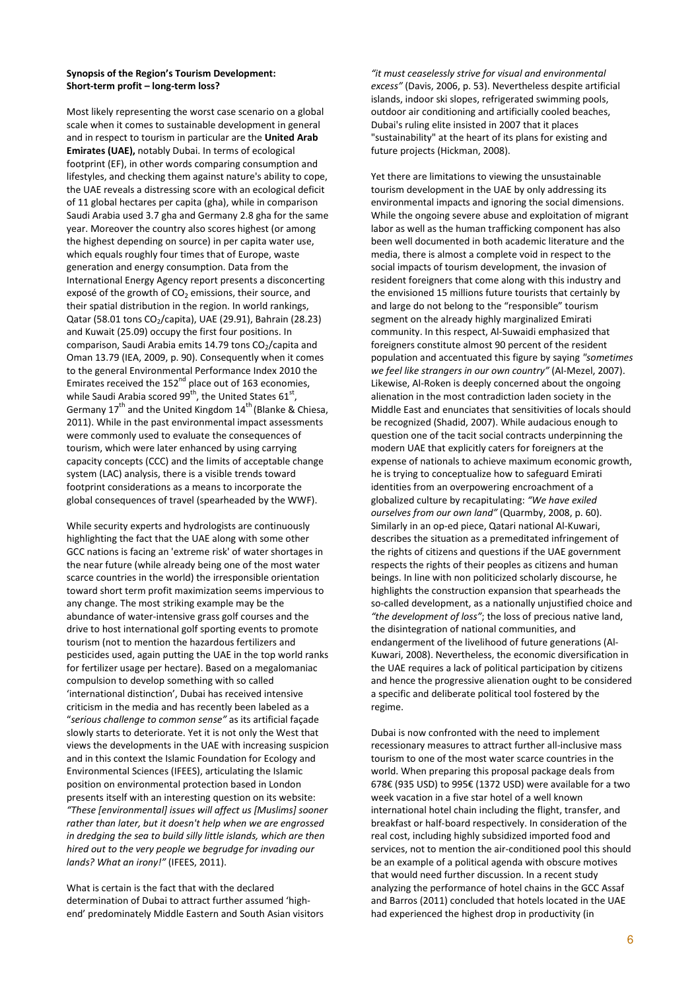# Synopsis of the Region's Tourism Development: Short-term profit – long-term loss?

Most likely representing the worst case scenario on a global scale when it comes to sustainable development in general and in respect to tourism in particular are the United Arab Emirates (UAE), notably Dubai. In terms of ecological footprint (EF), in other words comparing consumption and lifestyles, and checking them against nature's ability to cope, the UAE reveals a distressing score with an ecological deficit of 11 global hectares per capita (gha), while in comparison Saudi Arabia used 3.7 gha and Germany 2.8 gha for the same year. Moreover the country also scores highest (or among the highest depending on source) in per capita water use, which equals roughly four times that of Europe, waste generation and energy consumption. Data from the International Energy Agency report presents a disconcerting exposé of the growth of  $CO<sub>2</sub>$  emissions, their source, and their spatial distribution in the region. In world rankings, Qatar (58.01 tons CO<sub>2</sub>/capita), UAE (29.91), Bahrain (28.23) and Kuwait (25.09) occupy the first four positions. In comparison, Saudi Arabia emits 14.79 tons  $CO<sub>2</sub>/capita$  and Oman 13.79 (IEA, 2009, p. 90). Consequently when it comes to the general Environmental Performance Index 2010 the Emirates received the 152<sup>nd</sup> place out of 163 economies, while Saudi Arabia scored 99<sup>th</sup>, the United States 61<sup>st</sup>, Germany  $17^{th}$  and the United Kingdom  $14^{th}$  (Blanke & Chiesa, 2011). While in the past environmental impact assessments were commonly used to evaluate the consequences of tourism, which were later enhanced by using carrying capacity concepts (CCC) and the limits of acceptable change system (LAC) analysis, there is a visible trends toward footprint considerations as a means to incorporate the global consequences of travel (spearheaded by the WWF).

While security experts and hydrologists are continuously highlighting the fact that the UAE along with some other GCC nations is facing an 'extreme risk' of water shortages in the near future (while already being one of the most water scarce countries in the world) the irresponsible orientation toward short term profit maximization seems impervious to any change. The most striking example may be the abundance of water-intensive grass golf courses and the drive to host international golf sporting events to promote tourism (not to mention the hazardous fertilizers and pesticides used, again putting the UAE in the top world ranks for fertilizer usage per hectare). Based on a megalomaniac compulsion to develop something with so called 'international distinction', Dubai has received intensive criticism in the media and has recently been labeled as a "serious challenge to common sense" as its artificial façade slowly starts to deteriorate. Yet it is not only the West that views the developments in the UAE with increasing suspicion and in this context the Islamic Foundation for Ecology and Environmental Sciences (IFEES), articulating the Islamic position on environmental protection based in London presents itself with an interesting question on its website: "These [environmental] issues will affect us [Muslims] sooner rather than later, but it doesn't help when we are engrossed in dredging the sea to build silly little islands, which are then hired out to the very people we begrudge for invading our lands? What an irony!" (IFEES, 2011).

What is certain is the fact that with the declared determination of Dubai to attract further assumed 'highend' predominately Middle Eastern and South Asian visitors "it must ceaselessly strive for visual and environmental excess" (Davis, 2006, p. 53). Nevertheless despite artificial islands, indoor ski slopes, refrigerated swimming pools, outdoor air conditioning and artificially cooled beaches, Dubai's ruling elite insisted in 2007 that it places "sustainability" at the heart of its plans for existing and future projects (Hickman, 2008).

Yet there are limitations to viewing the unsustainable tourism development in the UAE by only addressing its environmental impacts and ignoring the social dimensions. While the ongoing severe abuse and exploitation of migrant labor as well as the human trafficking component has also been well documented in both academic literature and the media, there is almost a complete void in respect to the social impacts of tourism development, the invasion of resident foreigners that come along with this industry and the envisioned 15 millions future tourists that certainly by and large do not belong to the "responsible" tourism segment on the already highly marginalized Emirati community. In this respect, Al-Suwaidi emphasized that foreigners constitute almost 90 percent of the resident population and accentuated this figure by saying "sometimes we feel like strangers in our own country" (Al-Mezel, 2007). Likewise, Al-Roken is deeply concerned about the ongoing alienation in the most contradiction laden society in the Middle East and enunciates that sensitivities of locals should be recognized (Shadid, 2007). While audacious enough to question one of the tacit social contracts underpinning the modern UAE that explicitly caters for foreigners at the expense of nationals to achieve maximum economic growth, he is trying to conceptualize how to safeguard Emirati identities from an overpowering encroachment of a globalized culture by recapitulating: "We have exiled ourselves from our own land" (Quarmby, 2008, p. 60). Similarly in an op-ed piece, Qatari national Al-Kuwari, describes the situation as a premeditated infringement of the rights of citizens and questions if the UAE government respects the rights of their peoples as citizens and human beings. In line with non politicized scholarly discourse, he highlights the construction expansion that spearheads the so-called development, as a nationally unjustified choice and "the development of loss"; the loss of precious native land, the disintegration of national communities, and endangerment of the livelihood of future generations (Al-Kuwari, 2008). Nevertheless, the economic diversification in the UAE requires a lack of political participation by citizens and hence the progressive alienation ought to be considered a specific and deliberate political tool fostered by the regime.

Dubai is now confronted with the need to implement recessionary measures to attract further all-inclusive mass tourism to one of the most water scarce countries in the world. When preparing this proposal package deals from 678€ (935 USD) to 995€ (1372 USD) were available for a two week vacation in a five star hotel of a well known international hotel chain including the flight, transfer, and breakfast or half-board respectively. In consideration of the real cost, including highly subsidized imported food and services, not to mention the air-conditioned pool this should be an example of a political agenda with obscure motives that would need further discussion. In a recent study analyzing the performance of hotel chains in the GCC Assaf and Barros (2011) concluded that hotels located in the UAE had experienced the highest drop in productivity (in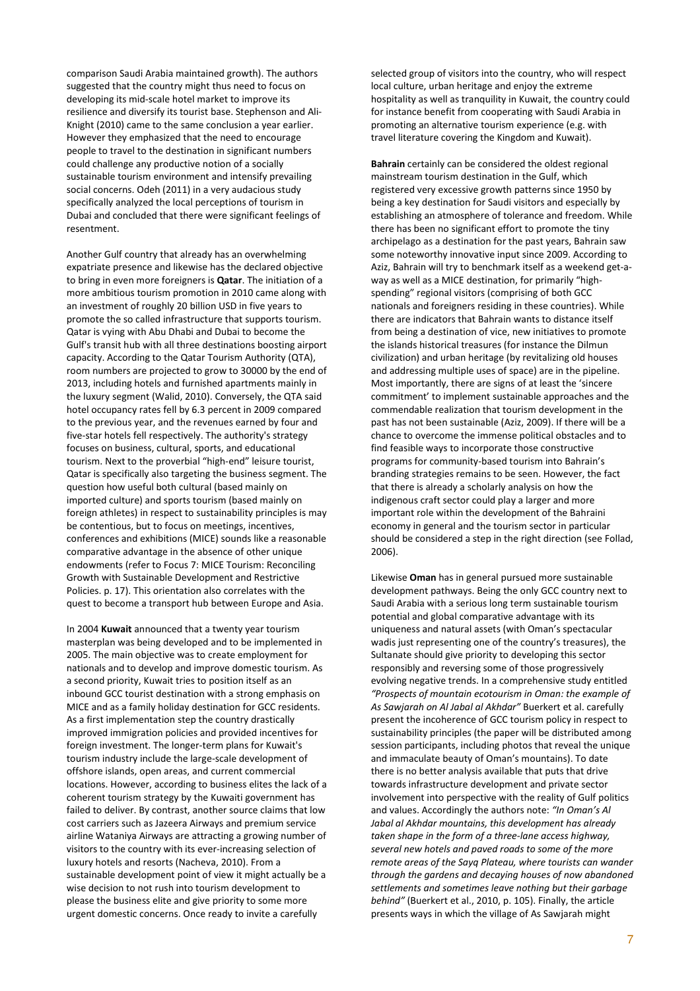comparison Saudi Arabia maintained growth). The authors suggested that the country might thus need to focus on developing its mid-scale hotel market to improve its resilience and diversify its tourist base. Stephenson and Ali-Knight (2010) came to the same conclusion a year earlier. However they emphasized that the need to encourage people to travel to the destination in significant numbers could challenge any productive notion of a socially sustainable tourism environment and intensify prevailing social concerns. Odeh (2011) in a very audacious study specifically analyzed the local perceptions of tourism in Dubai and concluded that there were significant feelings of resentment.

Another Gulf country that already has an overwhelming expatriate presence and likewise has the declared objective to bring in even more foreigners is Qatar. The initiation of a more ambitious tourism promotion in 2010 came along with an investment of roughly 20 billion USD in five years to promote the so called infrastructure that supports tourism. Qatar is vying with Abu Dhabi and Dubai to become the Gulf's transit hub with all three destinations boosting airport capacity. According to the Qatar Tourism Authority (QTA), room numbers are projected to grow to 30000 by the end of 2013, including hotels and furnished apartments mainly in the luxury segment (Walid, 2010). Conversely, the QTA said hotel occupancy rates fell by 6.3 percent in 2009 compared to the previous year, and the revenues earned by four and five-star hotels fell respectively. The authority's strategy focuses on business, cultural, sports, and educational tourism. Next to the proverbial "high-end" leisure tourist, Qatar is specifically also targeting the business segment. The question how useful both cultural (based mainly on imported culture) and sports tourism (based mainly on foreign athletes) in respect to sustainability principles is may be contentious, but to focus on meetings, incentives, conferences and exhibitions (MICE) sounds like a reasonable comparative advantage in the absence of other unique endowments (refer to Focus 7: MICE Tourism: Reconciling Growth with Sustainable Development and Restrictive Policies. p. 17). This orientation also correlates with the quest to become a transport hub between Europe and Asia.

In 2004 Kuwait announced that a twenty year tourism masterplan was being developed and to be implemented in 2005. The main objective was to create employment for nationals and to develop and improve domestic tourism. As a second priority, Kuwait tries to position itself as an inbound GCC tourist destination with a strong emphasis on MICE and as a family holiday destination for GCC residents. As a first implementation step the country drastically improved immigration policies and provided incentives for foreign investment. The longer-term plans for Kuwait's tourism industry include the large-scale development of offshore islands, open areas, and current commercial locations. However, according to business elites the lack of a coherent tourism strategy by the Kuwaiti government has failed to deliver. By contrast, another source claims that low cost carriers such as Jazeera Airways and premium service airline Wataniya Airways are attracting a growing number of visitors to the country with its ever-increasing selection of luxury hotels and resorts (Nacheva, 2010). From a sustainable development point of view it might actually be a wise decision to not rush into tourism development to please the business elite and give priority to some more urgent domestic concerns. Once ready to invite a carefully

selected group of visitors into the country, who will respect local culture, urban heritage and enjoy the extreme hospitality as well as tranquility in Kuwait, the country could for instance benefit from cooperating with Saudi Arabia in promoting an alternative tourism experience (e.g. with travel literature covering the Kingdom and Kuwait).

Bahrain certainly can be considered the oldest regional mainstream tourism destination in the Gulf, which registered very excessive growth patterns since 1950 by being a key destination for Saudi visitors and especially by establishing an atmosphere of tolerance and freedom. While there has been no significant effort to promote the tiny archipelago as a destination for the past years, Bahrain saw some noteworthy innovative input since 2009. According to Aziz, Bahrain will try to benchmark itself as a weekend get-away as well as a MICE destination, for primarily "highspending" regional visitors (comprising of both GCC nationals and foreigners residing in these countries). While there are indicators that Bahrain wants to distance itself from being a destination of vice, new initiatives to promote the islands historical treasures (for instance the Dilmun civilization) and urban heritage (by revitalizing old houses and addressing multiple uses of space) are in the pipeline. Most importantly, there are signs of at least the 'sincere commitment' to implement sustainable approaches and the commendable realization that tourism development in the past has not been sustainable (Aziz, 2009). If there will be a chance to overcome the immense political obstacles and to find feasible ways to incorporate those constructive programs for community-based tourism into Bahrain's branding strategies remains to be seen. However, the fact that there is already a scholarly analysis on how the indigenous craft sector could play a larger and more important role within the development of the Bahraini economy in general and the tourism sector in particular should be considered a step in the right direction (see Follad, 2006).

Likewise Oman has in general pursued more sustainable development pathways. Being the only GCC country next to Saudi Arabia with a serious long term sustainable tourism potential and global comparative advantage with its uniqueness and natural assets (with Oman's spectacular wadis just representing one of the country's treasures), the Sultanate should give priority to developing this sector responsibly and reversing some of those progressively evolving negative trends. In a comprehensive study entitled "Prospects of mountain ecotourism in Oman: the example of As Sawjarah on Al Jabal al Akhdar" Buerkert et al. carefully present the incoherence of GCC tourism policy in respect to sustainability principles (the paper will be distributed among session participants, including photos that reveal the unique and immaculate beauty of Oman's mountains). To date there is no better analysis available that puts that drive towards infrastructure development and private sector involvement into perspective with the reality of Gulf politics and values. Accordingly the authors note: "In Oman's Al Jabal al Akhdar mountains, this development has already taken shape in the form of a three-lane access highway, several new hotels and paved roads to some of the more remote areas of the Sayq Plateau, where tourists can wander through the gardens and decaying houses of now abandoned settlements and sometimes leave nothing but their garbage behind" (Buerkert et al., 2010, p. 105). Finally, the article presents ways in which the village of As Sawjarah might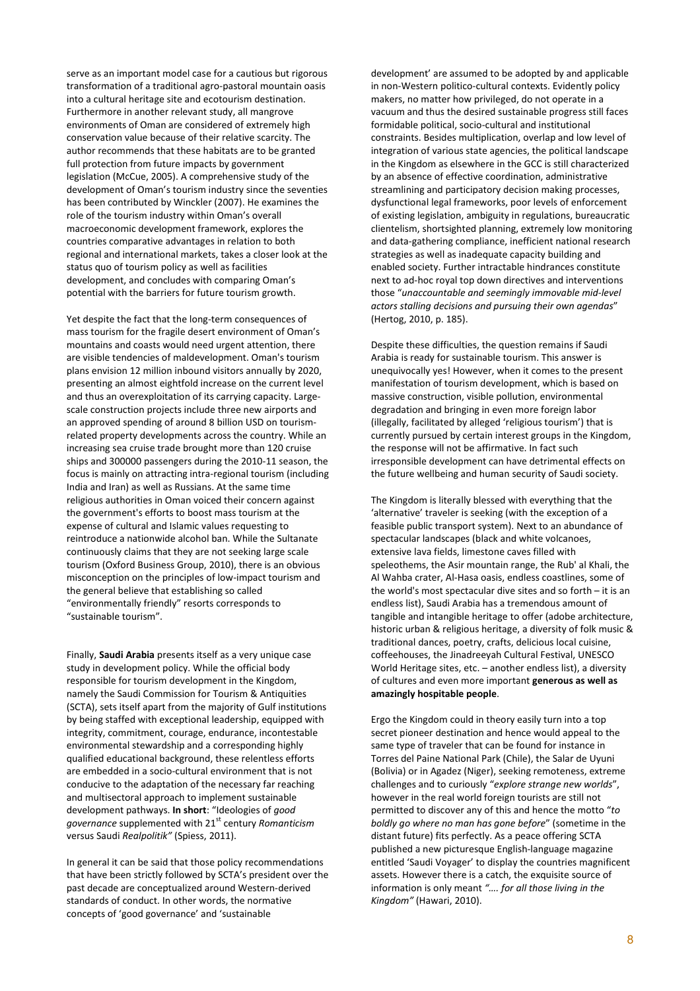serve as an important model case for a cautious but rigorous transformation of a traditional agro-pastoral mountain oasis into a cultural heritage site and ecotourism destination. Furthermore in another relevant study, all mangrove environments of Oman are considered of extremely high conservation value because of their relative scarcity. The author recommends that these habitats are to be granted full protection from future impacts by government legislation (McCue, 2005). A comprehensive study of the development of Oman's tourism industry since the seventies has been contributed by Winckler (2007). He examines the role of the tourism industry within Oman's overall macroeconomic development framework, explores the countries comparative advantages in relation to both regional and international markets, takes a closer look at the status quo of tourism policy as well as facilities development, and concludes with comparing Oman's potential with the barriers for future tourism growth.

Yet despite the fact that the long-term consequences of mass tourism for the fragile desert environment of Oman's mountains and coasts would need urgent attention, there are visible tendencies of maldevelopment. Oman's tourism plans envision 12 million inbound visitors annually by 2020, presenting an almost eightfold increase on the current level and thus an overexploitation of its carrying capacity. Largescale construction projects include three new airports and an approved spending of around 8 billion USD on tourismrelated property developments across the country. While an increasing sea cruise trade brought more than 120 cruise ships and 300000 passengers during the 2010-11 season, the focus is mainly on attracting intra-regional tourism (including India and Iran) as well as Russians. At the same time religious authorities in Oman voiced their concern against the government's efforts to boost mass tourism at the expense of cultural and Islamic values requesting to reintroduce a nationwide alcohol ban. While the Sultanate continuously claims that they are not seeking large scale tourism (Oxford Business Group, 2010), there is an obvious misconception on the principles of low-impact tourism and the general believe that establishing so called "environmentally friendly" resorts corresponds to "sustainable tourism".

Finally, Saudi Arabia presents itself as a very unique case study in development policy. While the official body responsible for tourism development in the Kingdom, namely the Saudi Commission for Tourism & Antiquities (SCTA), sets itself apart from the majority of Gulf institutions by being staffed with exceptional leadership, equipped with integrity, commitment, courage, endurance, incontestable environmental stewardship and a corresponding highly qualified educational background, these relentless efforts are embedded in a socio-cultural environment that is not conducive to the adaptation of the necessary far reaching and multisectoral approach to implement sustainable development pathways. In short: "Ideologies of good governance supplemented with 21<sup>st</sup> century Romanticism versus Saudi Realpolitik" (Spiess, 2011).

In general it can be said that those policy recommendations that have been strictly followed by SCTA's president over the past decade are conceptualized around Western-derived standards of conduct. In other words, the normative concepts of 'good governance' and 'sustainable

development' are assumed to be adopted by and applicable in non-Western politico-cultural contexts. Evidently policy makers, no matter how privileged, do not operate in a vacuum and thus the desired sustainable progress still faces formidable political, socio-cultural and institutional constraints. Besides multiplication, overlap and low level of integration of various state agencies, the political landscape in the Kingdom as elsewhere in the GCC is still characterized by an absence of effective coordination, administrative streamlining and participatory decision making processes, dysfunctional legal frameworks, poor levels of enforcement of existing legislation, ambiguity in regulations, bureaucratic clientelism, shortsighted planning, extremely low monitoring and data-gathering compliance, inefficient national research strategies as well as inadequate capacity building and enabled society. Further intractable hindrances constitute next to ad-hoc royal top down directives and interventions those "unaccountable and seemingly immovable mid-level actors stalling decisions and pursuing their own agendas" (Hertog, 2010, p. 185).

Despite these difficulties, the question remains if Saudi Arabia is ready for sustainable tourism. This answer is unequivocally yes! However, when it comes to the present manifestation of tourism development, which is based on massive construction, visible pollution, environmental degradation and bringing in even more foreign labor (illegally, facilitated by alleged 'religious tourism') that is currently pursued by certain interest groups in the Kingdom, the response will not be affirmative. In fact such irresponsible development can have detrimental effects on the future wellbeing and human security of Saudi society.

The Kingdom is literally blessed with everything that the 'alternative' traveler is seeking (with the exception of a feasible public transport system). Next to an abundance of spectacular landscapes (black and white volcanoes, extensive lava fields, limestone caves filled with speleothems, the Asir mountain range, the Rub' al Khali, the Al Wahba crater, Al-Hasa oasis, endless coastlines, some of the world's most spectacular dive sites and so forth – it is an endless list), Saudi Arabia has a tremendous amount of tangible and intangible heritage to offer (adobe architecture, historic urban & religious heritage, a diversity of folk music & traditional dances, poetry, crafts, delicious local cuisine, coffeehouses, the Jinadreeyah Cultural Festival, UNESCO World Heritage sites, etc. – another endless list), a diversity of cultures and even more important generous as well as amazingly hospitable people.

Ergo the Kingdom could in theory easily turn into a top secret pioneer destination and hence would appeal to the same type of traveler that can be found for instance in Torres del Paine National Park (Chile), the Salar de Uyuni (Bolivia) or in Agadez (Niger), seeking remoteness, extreme challenges and to curiously "explore strange new worlds", however in the real world foreign tourists are still not permitted to discover any of this and hence the motto "to boldly go where no man has gone before" (sometime in the distant future) fits perfectly. As a peace offering SCTA published a new picturesque English-language magazine entitled 'Saudi Voyager' to display the countries magnificent assets. However there is a catch, the exquisite source of information is only meant "…. for all those living in the Kingdom" (Hawari, 2010).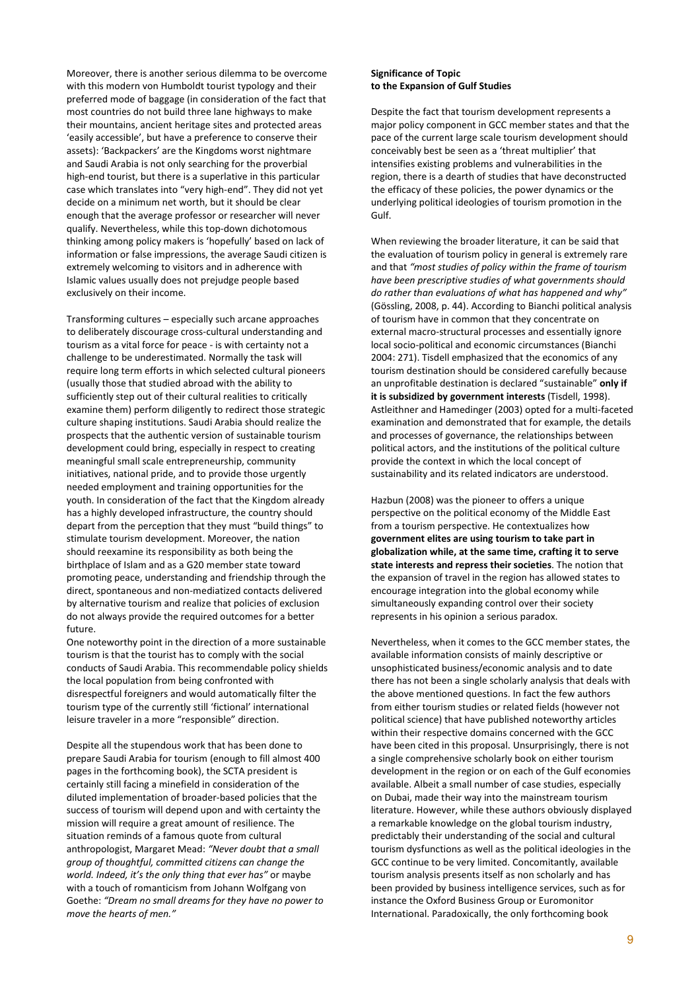Moreover, there is another serious dilemma to be overcome with this modern von Humboldt tourist typology and their preferred mode of baggage (in consideration of the fact that most countries do not build three lane highways to make their mountains, ancient heritage sites and protected areas 'easily accessible', but have a preference to conserve their assets): 'Backpackers' are the Kingdoms worst nightmare and Saudi Arabia is not only searching for the proverbial high-end tourist, but there is a superlative in this particular case which translates into "very high-end". They did not yet decide on a minimum net worth, but it should be clear enough that the average professor or researcher will never qualify. Nevertheless, while this top-down dichotomous thinking among policy makers is 'hopefully' based on lack of information or false impressions, the average Saudi citizen is extremely welcoming to visitors and in adherence with Islamic values usually does not prejudge people based exclusively on their income.

Transforming cultures – especially such arcane approaches to deliberately discourage cross-cultural understanding and tourism as a vital force for peace - is with certainty not a challenge to be underestimated. Normally the task will require long term efforts in which selected cultural pioneers (usually those that studied abroad with the ability to sufficiently step out of their cultural realities to critically examine them) perform diligently to redirect those strategic culture shaping institutions. Saudi Arabia should realize the prospects that the authentic version of sustainable tourism development could bring, especially in respect to creating meaningful small scale entrepreneurship, community initiatives, national pride, and to provide those urgently needed employment and training opportunities for the youth. In consideration of the fact that the Kingdom already has a highly developed infrastructure, the country should depart from the perception that they must "build things" to stimulate tourism development. Moreover, the nation should reexamine its responsibility as both being the birthplace of Islam and as a G20 member state toward promoting peace, understanding and friendship through the direct, spontaneous and non-mediatized contacts delivered by alternative tourism and realize that policies of exclusion do not always provide the required outcomes for a better future.

One noteworthy point in the direction of a more sustainable tourism is that the tourist has to comply with the social conducts of Saudi Arabia. This recommendable policy shields the local population from being confronted with disrespectful foreigners and would automatically filter the tourism type of the currently still 'fictional' international leisure traveler in a more "responsible" direction.

Despite all the stupendous work that has been done to prepare Saudi Arabia for tourism (enough to fill almost 400 pages in the forthcoming book), the SCTA president is certainly still facing a minefield in consideration of the diluted implementation of broader-based policies that the success of tourism will depend upon and with certainty the mission will require a great amount of resilience. The situation reminds of a famous quote from cultural anthropologist, Margaret Mead: "Never doubt that a small group of thoughtful, committed citizens can change the world. Indeed, it's the only thing that ever has" or maybe with a touch of romanticism from Johann Wolfgang von Goethe: "Dream no small dreams for they have no power to move the hearts of men."

## Significance of Topic to the Expansion of Gulf Studies

Despite the fact that tourism development represents a major policy component in GCC member states and that the pace of the current large scale tourism development should conceivably best be seen as a 'threat multiplier' that intensifies existing problems and vulnerabilities in the region, there is a dearth of studies that have deconstructed the efficacy of these policies, the power dynamics or the underlying political ideologies of tourism promotion in the Gulf.

When reviewing the broader literature, it can be said that the evaluation of tourism policy in general is extremely rare and that "most studies of policy within the frame of tourism have been prescriptive studies of what governments should do rather than evaluations of what has happened and why" (Gössling, 2008, p. 44). According to Bianchi political analysis of tourism have in common that they concentrate on external macro-structural processes and essentially ignore local socio-political and economic circumstances (Bianchi 2004: 271). Tisdell emphasized that the economics of any tourism destination should be considered carefully because an unprofitable destination is declared "sustainable" only if it is subsidized by government interests (Tisdell, 1998). Astleithner and Hamedinger (2003) opted for a multi-faceted examination and demonstrated that for example, the details and processes of governance, the relationships between political actors, and the institutions of the political culture provide the context in which the local concept of sustainability and its related indicators are understood.

Hazbun (2008) was the pioneer to offers a unique perspective on the political economy of the Middle East from a tourism perspective. He contextualizes how government elites are using tourism to take part in globalization while, at the same time, crafting it to serve state interests and repress their societies. The notion that the expansion of travel in the region has allowed states to encourage integration into the global economy while simultaneously expanding control over their society represents in his opinion a serious paradox.

Nevertheless, when it comes to the GCC member states, the available information consists of mainly descriptive or unsophisticated business/economic analysis and to date there has not been a single scholarly analysis that deals with the above mentioned questions. In fact the few authors from either tourism studies or related fields (however not political science) that have published noteworthy articles within their respective domains concerned with the GCC have been cited in this proposal. Unsurprisingly, there is not a single comprehensive scholarly book on either tourism development in the region or on each of the Gulf economies available. Albeit a small number of case studies, especially on Dubai, made their way into the mainstream tourism literature. However, while these authors obviously displayed a remarkable knowledge on the global tourism industry, predictably their understanding of the social and cultural tourism dysfunctions as well as the political ideologies in the GCC continue to be very limited. Concomitantly, available tourism analysis presents itself as non scholarly and has been provided by business intelligence services, such as for instance the Oxford Business Group or Euromonitor International. Paradoxically, the only forthcoming book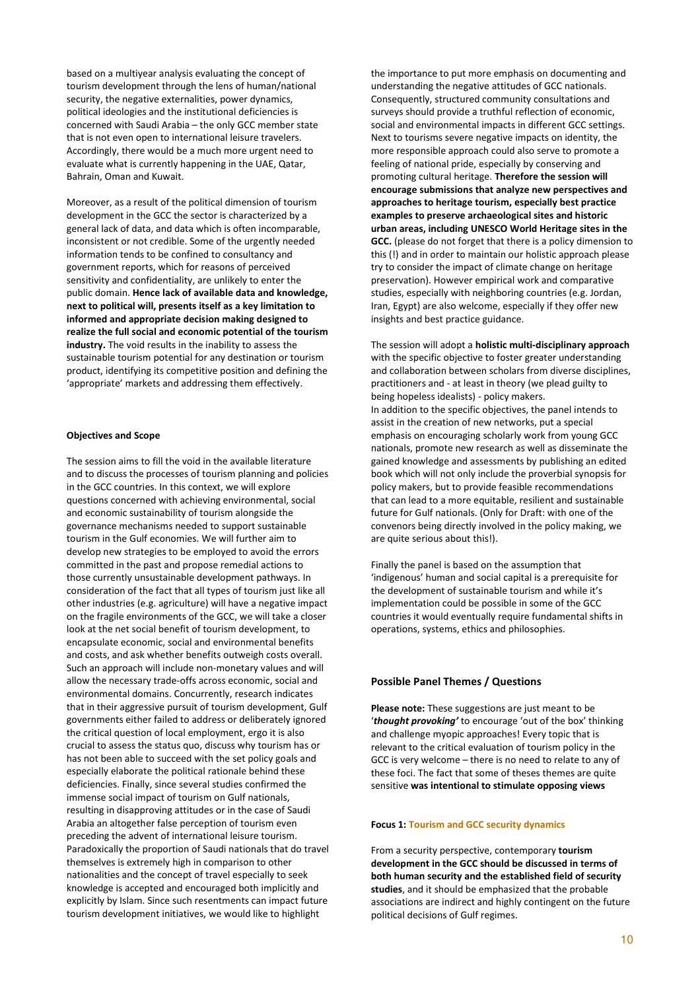based on a multiyear analysis evaluating the concept of tourism development through the lens of human/national security, the negative externalities, power dynamics, political ideologies and the institutional deficiencies is concerned with Saudi Arabia – the only GCC member state that is not even open to international leisure travelers. Accordingly, there would be a much more urgent need to evaluate what is currently happening in the UAE, Qatar, Bahrain, Oman and Kuwait.

Moreover, as a result of the political dimension of tourism development in the GCC the sector is characterized by a general lack of data, and data which is often incomparable, inconsistent or not credible. Some of the urgently needed information tends to be confined to consultancy and government reports, which for reasons of perceived sensitivity and confidentiality, are unlikely to enter the public domain. Hence lack of available data and knowledge, next to political will, presents itself as a key limitation to informed and appropriate decision making designed to realize the full social and economic potential of the tourism industry. The void results in the inability to assess the sustainable tourism potential for any destination or tourism product, identifying its competitive position and defining the 'appropriate' markets and addressing them effectively.

#### Objectives and Scope

The session aims to fill the void in the available literature and to discuss the processes of tourism planning and policies in the GCC countries. In this context, we will explore questions concerned with achieving environmental, social and economic sustainability of tourism alongside the governance mechanisms needed to support sustainable tourism in the Gulf economies. We will further aim to develop new strategies to be employed to avoid the errors committed in the past and propose remedial actions to those currently unsustainable development pathways. In consideration of the fact that all types of tourism just like all other industries (e.g. agriculture) will have a negative impact on the fragile environments of the GCC, we will take a closer look at the net social benefit of tourism development, to encapsulate economic, social and environmental benefits and costs, and ask whether benefits outweigh costs overall. Such an approach will include non-monetary values and will allow the necessary trade-offs across economic, social and environmental domains. Concurrently, research indicates that in their aggressive pursuit of tourism development, Gulf governments either failed to address or deliberately ignored the critical question of local employment, ergo it is also crucial to assess the status quo, discuss why tourism has or has not been able to succeed with the set policy goals and especially elaborate the political rationale behind these deficiencies. Finally, since several studies confirmed the immense social impact of tourism on Gulf nationals, resulting in disapproving attitudes or in the case of Saudi Arabia an altogether false perception of tourism even preceding the advent of international leisure tourism. Paradoxically the proportion of Saudi nationals that do travel themselves is extremely high in comparison to other nationalities and the concept of travel especially to seek knowledge is accepted and encouraged both implicitly and explicitly by Islam. Since such resentments can impact future tourism development initiatives, we would like to highlight

the importance to put more emphasis on documenting and understanding the negative attitudes of GCC nationals. Consequently, structured community consultations and surveys should provide a truthful reflection of economic, social and environmental impacts in different GCC settings. Next to tourisms severe negative impacts on identity, the more responsible approach could also serve to promote a feeling of national pride, especially by conserving and promoting cultural heritage. Therefore the session will encourage submissions that analyze new perspectives and approaches to heritage tourism, especially best practice examples to preserve archaeological sites and historic urban areas, including UNESCO World Heritage sites in the GCC. (please do not forget that there is a policy dimension to this (!) and in order to maintain our holistic approach please try to consider the impact of climate change on heritage preservation). However empirical work and comparative studies, especially with neighboring countries (e.g. Jordan, Iran, Egypt) are also welcome, especially if they offer new insights and best practice guidance.

The session will adopt a **holistic multi-disciplinary approach** with the specific objective to foster greater understanding and collaboration between scholars from diverse disciplines, practitioners and - at least in theory (we plead guilty to being hopeless idealists) - policy makers. In addition to the specific objectives, the panel intends to assist in the creation of new networks, put a special emphasis on encouraging scholarly work from young GCC nationals, promote new research as well as disseminate the gained knowledge and assessments by publishing an edited book which will not only include the proverbial synopsis for policy makers, but to provide feasible recommendations that can lead to a more equitable, resilient and sustainable future for Gulf nationals. (Only for Draft: with one of the convenors being directly involved in the policy making, we are quite serious about this!).

Finally the panel is based on the assumption that 'indigenous' human and social capital is a prerequisite for the development of sustainable tourism and while it's implementation could be possible in some of the GCC countries it would eventually require fundamental shifts in operations, systems, ethics and philosophies.

## Possible Panel Themes / Questions

Please note: These suggestions are just meant to be 'thought provoking' to encourage 'out of the box' thinking and challenge myopic approaches! Every topic that is relevant to the critical evaluation of tourism policy in the GCC is very welcome – there is no need to relate to any of these foci. The fact that some of theses themes are quite sensitive was intentional to stimulate opposing views

#### Focus 1: Tourism and GCC security dynamics

From a security perspective, contemporary tourism development in the GCC should be discussed in terms of both human security and the established field of security studies, and it should be emphasized that the probable associations are indirect and highly contingent on the future political decisions of Gulf regimes.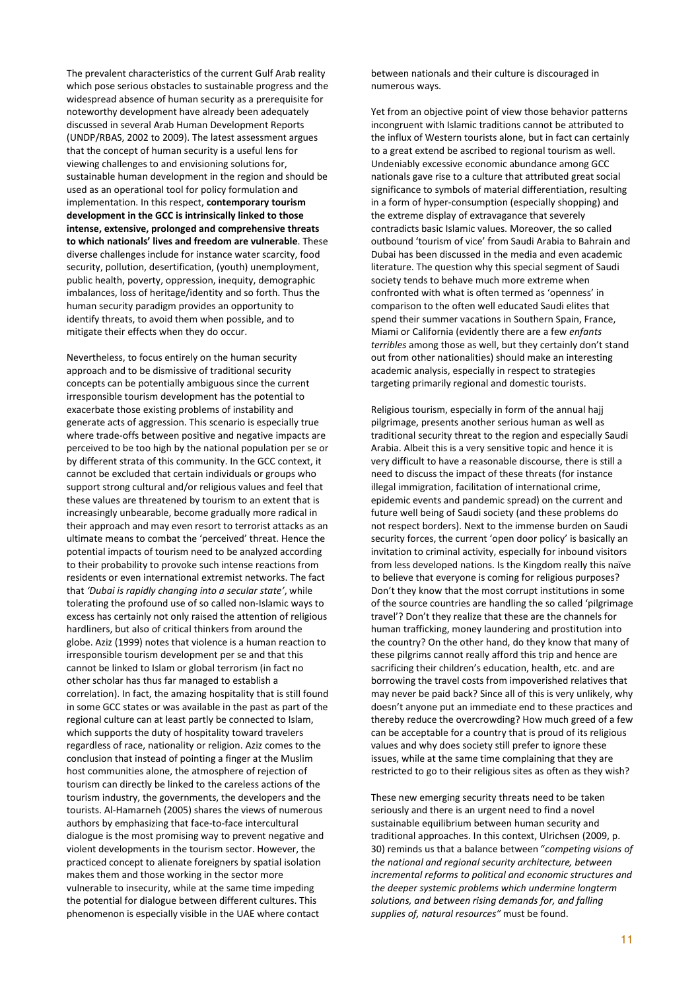The prevalent characteristics of the current Gulf Arab reality which pose serious obstacles to sustainable progress and the widespread absence of human security as a prerequisite for noteworthy development have already been adequately discussed in several Arab Human Development Reports (UNDP/RBAS, 2002 to 2009). The latest assessment argues that the concept of human security is a useful lens for viewing challenges to and envisioning solutions for, sustainable human development in the region and should be used as an operational tool for policy formulation and implementation. In this respect, contemporary tourism development in the GCC is intrinsically linked to those intense, extensive, prolonged and comprehensive threats to which nationals' lives and freedom are vulnerable. These diverse challenges include for instance water scarcity, food security, pollution, desertification, (youth) unemployment, public health, poverty, oppression, inequity, demographic imbalances, loss of heritage/identity and so forth. Thus the human security paradigm provides an opportunity to identify threats, to avoid them when possible, and to mitigate their effects when they do occur.

Nevertheless, to focus entirely on the human security approach and to be dismissive of traditional security concepts can be potentially ambiguous since the current irresponsible tourism development has the potential to exacerbate those existing problems of instability and generate acts of aggression. This scenario is especially true where trade-offs between positive and negative impacts are perceived to be too high by the national population per se or by different strata of this community. In the GCC context, it cannot be excluded that certain individuals or groups who support strong cultural and/or religious values and feel that these values are threatened by tourism to an extent that is increasingly unbearable, become gradually more radical in their approach and may even resort to terrorist attacks as an ultimate means to combat the 'perceived' threat. Hence the potential impacts of tourism need to be analyzed according to their probability to provoke such intense reactions from residents or even international extremist networks. The fact that 'Dubai is rapidly changing into a secular state', while tolerating the profound use of so called non-Islamic ways to excess has certainly not only raised the attention of religious hardliners, but also of critical thinkers from around the globe. Aziz (1999) notes that violence is a human reaction to irresponsible tourism development per se and that this cannot be linked to Islam or global terrorism (in fact no other scholar has thus far managed to establish a correlation). In fact, the amazing hospitality that is still found in some GCC states or was available in the past as part of the regional culture can at least partly be connected to Islam, which supports the duty of hospitality toward travelers regardless of race, nationality or religion. Aziz comes to the conclusion that instead of pointing a finger at the Muslim host communities alone, the atmosphere of rejection of tourism can directly be linked to the careless actions of the tourism industry, the governments, the developers and the tourists. Al-Hamarneh (2005) shares the views of numerous authors by emphasizing that face-to-face intercultural dialogue is the most promising way to prevent negative and violent developments in the tourism sector. However, the practiced concept to alienate foreigners by spatial isolation makes them and those working in the sector more vulnerable to insecurity, while at the same time impeding the potential for dialogue between different cultures. This phenomenon is especially visible in the UAE where contact

between nationals and their culture is discouraged in numerous ways.

Yet from an objective point of view those behavior patterns incongruent with Islamic traditions cannot be attributed to the influx of Western tourists alone, but in fact can certainly to a great extend be ascribed to regional tourism as well. Undeniably excessive economic abundance among GCC nationals gave rise to a culture that attributed great social significance to symbols of material differentiation, resulting in a form of hyper-consumption (especially shopping) and the extreme display of extravagance that severely contradicts basic Islamic values. Moreover, the so called outbound 'tourism of vice' from Saudi Arabia to Bahrain and Dubai has been discussed in the media and even academic literature. The question why this special segment of Saudi society tends to behave much more extreme when confronted with what is often termed as 'openness' in comparison to the often well educated Saudi elites that spend their summer vacations in Southern Spain, France, Miami or California (evidently there are a few enfants terribles among those as well, but they certainly don't stand out from other nationalities) should make an interesting academic analysis, especially in respect to strategies targeting primarily regional and domestic tourists.

Religious tourism, especially in form of the annual hajj pilgrimage, presents another serious human as well as traditional security threat to the region and especially Saudi Arabia. Albeit this is a very sensitive topic and hence it is very difficult to have a reasonable discourse, there is still a need to discuss the impact of these threats (for instance illegal immigration, facilitation of international crime, epidemic events and pandemic spread) on the current and future well being of Saudi society (and these problems do not respect borders). Next to the immense burden on Saudi security forces, the current 'open door policy' is basically an invitation to criminal activity, especially for inbound visitors from less developed nations. Is the Kingdom really this naïve to believe that everyone is coming for religious purposes? Don't they know that the most corrupt institutions in some of the source countries are handling the so called 'pilgrimage travel'? Don't they realize that these are the channels for human trafficking, money laundering and prostitution into the country? On the other hand, do they know that many of these pilgrims cannot really afford this trip and hence are sacrificing their children's education, health, etc. and are borrowing the travel costs from impoverished relatives that may never be paid back? Since all of this is very unlikely, why doesn't anyone put an immediate end to these practices and thereby reduce the overcrowding? How much greed of a few can be acceptable for a country that is proud of its religious values and why does society still prefer to ignore these issues, while at the same time complaining that they are restricted to go to their religious sites as often as they wish?

These new emerging security threats need to be taken seriously and there is an urgent need to find a novel sustainable equilibrium between human security and traditional approaches. In this context, Ulrichsen (2009, p. 30) reminds us that a balance between "competing visions of the national and regional security architecture, between incremental reforms to political and economic structures and the deeper systemic problems which undermine longterm solutions, and between rising demands for, and falling supplies of, natural resources" must be found.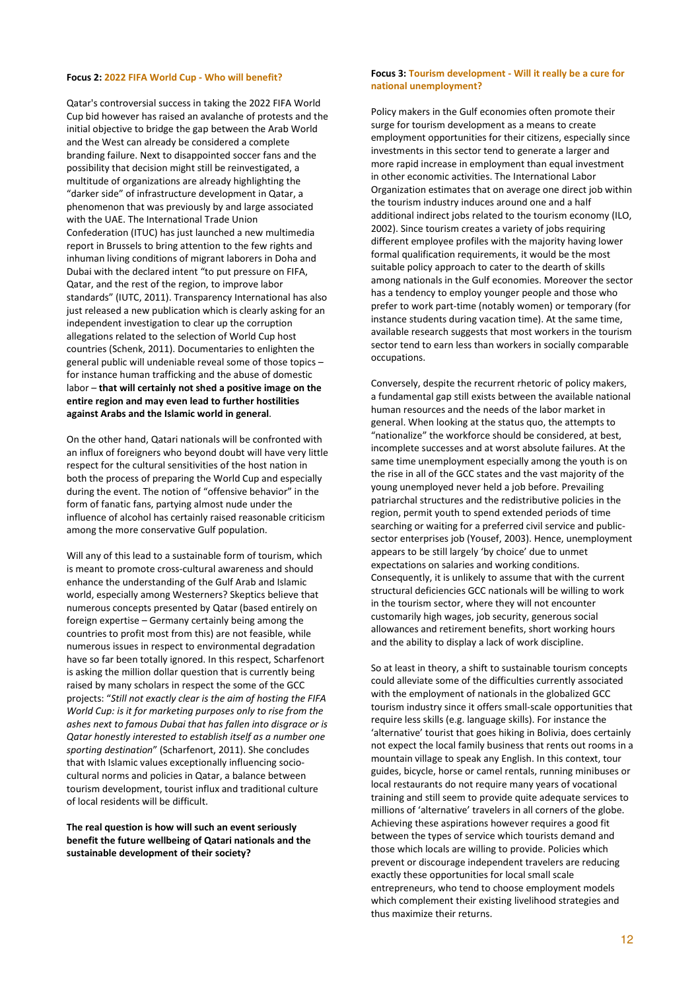#### Focus 2: 2022 FIFA World Cup - Who will benefit?

Qatar's controversial success in taking the 2022 FIFA World Cup bid however has raised an avalanche of protests and the initial objective to bridge the gap between the Arab World and the West can already be considered a complete branding failure. Next to disappointed soccer fans and the possibility that decision might still be reinvestigated, a multitude of organizations are already highlighting the "darker side" of infrastructure development in Qatar, a phenomenon that was previously by and large associated with the UAE. The International Trade Union Confederation (ITUC) has just launched a new multimedia report in Brussels to bring attention to the few rights and inhuman living conditions of migrant laborers in Doha and Dubai with the declared intent "to put pressure on FIFA, Qatar, and the rest of the region, to improve labor standards" (IUTC, 2011). Transparency International has also just released a new publication which is clearly asking for an independent investigation to clear up the corruption allegations related to the selection of World Cup host countries (Schenk, 2011). Documentaries to enlighten the general public will undeniable reveal some of those topics – for instance human trafficking and the abuse of domestic labor – that will certainly not shed a positive image on the entire region and may even lead to further hostilities against Arabs and the Islamic world in general.

On the other hand, Qatari nationals will be confronted with an influx of foreigners who beyond doubt will have very little respect for the cultural sensitivities of the host nation in both the process of preparing the World Cup and especially during the event. The notion of "offensive behavior" in the form of fanatic fans, partying almost nude under the influence of alcohol has certainly raised reasonable criticism among the more conservative Gulf population.

Will any of this lead to a sustainable form of tourism, which is meant to promote cross-cultural awareness and should enhance the understanding of the Gulf Arab and Islamic world, especially among Westerners? Skeptics believe that numerous concepts presented by Qatar (based entirely on foreign expertise – Germany certainly being among the countries to profit most from this) are not feasible, while numerous issues in respect to environmental degradation have so far been totally ignored. In this respect, Scharfenort is asking the million dollar question that is currently being raised by many scholars in respect the some of the GCC projects: "Still not exactly clear is the aim of hosting the FIFA World Cup: is it for marketing purposes only to rise from the ashes next to famous Dubai that has fallen into disgrace or is Qatar honestly interested to establish itself as a number one sporting destination" (Scharfenort, 2011). She concludes that with Islamic values exceptionally influencing sociocultural norms and policies in Qatar, a balance between tourism development, tourist influx and traditional culture of local residents will be difficult.

The real question is how will such an event seriously benefit the future wellbeing of Qatari nationals and the sustainable development of their society?

#### Focus 3: Tourism development - Will it really be a cure for national unemployment?

Policy makers in the Gulf economies often promote their surge for tourism development as a means to create employment opportunities for their citizens, especially since investments in this sector tend to generate a larger and more rapid increase in employment than equal investment in other economic activities. The International Labor Organization estimates that on average one direct job within the tourism industry induces around one and a half additional indirect jobs related to the tourism economy (ILO, 2002). Since tourism creates a variety of jobs requiring different employee profiles with the majority having lower formal qualification requirements, it would be the most suitable policy approach to cater to the dearth of skills among nationals in the Gulf economies. Moreover the sector has a tendency to employ younger people and those who prefer to work part-time (notably women) or temporary (for instance students during vacation time). At the same time, available research suggests that most workers in the tourism sector tend to earn less than workers in socially comparable occupations.

Conversely, despite the recurrent rhetoric of policy makers, a fundamental gap still exists between the available national human resources and the needs of the labor market in general. When looking at the status quo, the attempts to "nationalize" the workforce should be considered, at best, incomplete successes and at worst absolute failures. At the same time unemployment especially among the youth is on the rise in all of the GCC states and the vast majority of the young unemployed never held a job before. Prevailing patriarchal structures and the redistributive policies in the region, permit youth to spend extended periods of time searching or waiting for a preferred civil service and publicsector enterprises job (Yousef, 2003). Hence, unemployment appears to be still largely 'by choice' due to unmet expectations on salaries and working conditions. Consequently, it is unlikely to assume that with the current structural deficiencies GCC nationals will be willing to work in the tourism sector, where they will not encounter customarily high wages, job security, generous social allowances and retirement benefits, short working hours and the ability to display a lack of work discipline.

So at least in theory, a shift to sustainable tourism concepts could alleviate some of the difficulties currently associated with the employment of nationals in the globalized GCC tourism industry since it offers small-scale opportunities that require less skills (e.g. language skills). For instance the 'alternative' tourist that goes hiking in Bolivia, does certainly not expect the local family business that rents out rooms in a mountain village to speak any English. In this context, tour guides, bicycle, horse or camel rentals, running minibuses or local restaurants do not require many years of vocational training and still seem to provide quite adequate services to millions of 'alternative' travelers in all corners of the globe. Achieving these aspirations however requires a good fit between the types of service which tourists demand and those which locals are willing to provide. Policies which prevent or discourage independent travelers are reducing exactly these opportunities for local small scale entrepreneurs, who tend to choose employment models which complement their existing livelihood strategies and thus maximize their returns.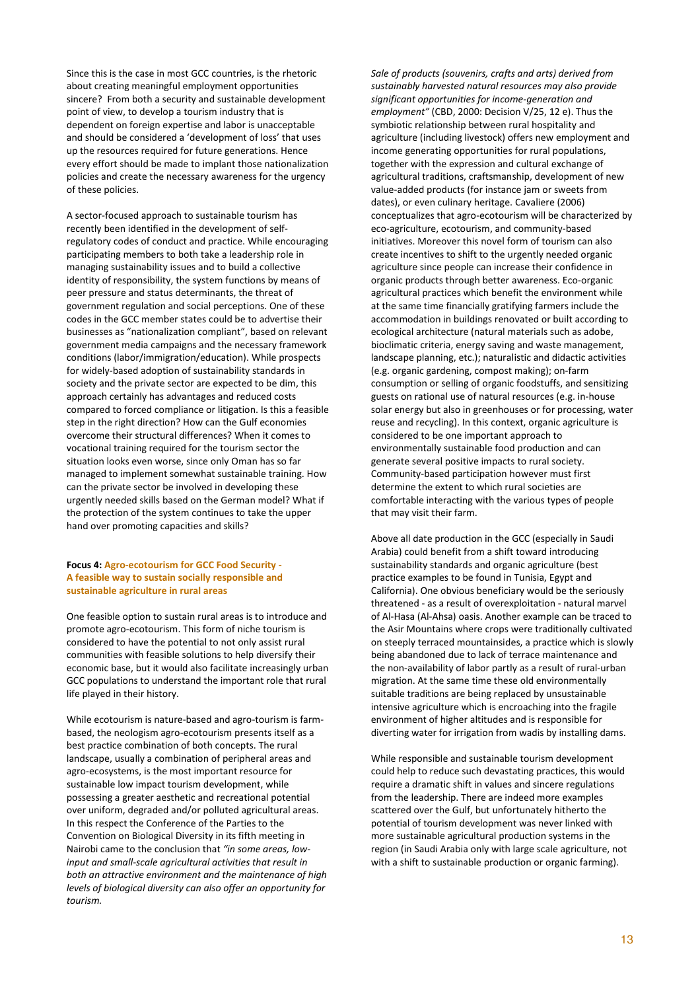Since this is the case in most GCC countries, is the rhetoric about creating meaningful employment opportunities sincere? From both a security and sustainable development point of view, to develop a tourism industry that is dependent on foreign expertise and labor is unacceptable and should be considered a 'development of loss' that uses up the resources required for future generations. Hence every effort should be made to implant those nationalization policies and create the necessary awareness for the urgency of these policies.

A sector-focused approach to sustainable tourism has recently been identified in the development of selfregulatory codes of conduct and practice. While encouraging participating members to both take a leadership role in managing sustainability issues and to build a collective identity of responsibility, the system functions by means of peer pressure and status determinants, the threat of government regulation and social perceptions. One of these codes in the GCC member states could be to advertise their businesses as "nationalization compliant", based on relevant government media campaigns and the necessary framework conditions (labor/immigration/education). While prospects for widely-based adoption of sustainability standards in society and the private sector are expected to be dim, this approach certainly has advantages and reduced costs compared to forced compliance or litigation. Is this a feasible step in the right direction? How can the Gulf economies overcome their structural differences? When it comes to vocational training required for the tourism sector the situation looks even worse, since only Oman has so far managed to implement somewhat sustainable training. How can the private sector be involved in developing these urgently needed skills based on the German model? What if the protection of the system continues to take the upper hand over promoting capacities and skills?

# Focus 4: Agro-ecotourism for GCC Food Security - A feasible way to sustain socially responsible and sustainable agriculture in rural areas

One feasible option to sustain rural areas is to introduce and promote agro-ecotourism. This form of niche tourism is considered to have the potential to not only assist rural communities with feasible solutions to help diversify their economic base, but it would also facilitate increasingly urban GCC populations to understand the important role that rural life played in their history.

While ecotourism is nature-based and agro-tourism is farmbased, the neologism agro-ecotourism presents itself as a best practice combination of both concepts. The rural landscape, usually a combination of peripheral areas and agro-ecosystems, is the most important resource for sustainable low impact tourism development, while possessing a greater aesthetic and recreational potential over uniform, degraded and/or polluted agricultural areas. In this respect the Conference of the Parties to the Convention on Biological Diversity in its fifth meeting in Nairobi came to the conclusion that "in some areas, lowinput and small-scale agricultural activities that result in both an attractive environment and the maintenance of high levels of biological diversity can also offer an opportunity for tourism.

Sale of products (souvenirs, crafts and arts) derived from sustainably harvested natural resources may also provide significant opportunities for income-generation and employment" (CBD, 2000: Decision V/25, 12 e). Thus the symbiotic relationship between rural hospitality and agriculture (including livestock) offers new employment and income generating opportunities for rural populations, together with the expression and cultural exchange of agricultural traditions, craftsmanship, development of new value-added products (for instance jam or sweets from dates), or even culinary heritage. Cavaliere (2006) conceptualizes that agro-ecotourism will be characterized by eco-agriculture, ecotourism, and community-based initiatives. Moreover this novel form of tourism can also create incentives to shift to the urgently needed organic agriculture since people can increase their confidence in organic products through better awareness. Eco-organic agricultural practices which benefit the environment while at the same time financially gratifying farmers include the accommodation in buildings renovated or built according to ecological architecture (natural materials such as adobe, bioclimatic criteria, energy saving and waste management, landscape planning, etc.); naturalistic and didactic activities (e.g. organic gardening, compost making); on-farm consumption or selling of organic foodstuffs, and sensitizing guests on rational use of natural resources (e.g. in-house solar energy but also in greenhouses or for processing, water reuse and recycling). In this context, organic agriculture is considered to be one important approach to environmentally sustainable food production and can generate several positive impacts to rural society. Community-based participation however must first determine the extent to which rural societies are comfortable interacting with the various types of people that may visit their farm.

Above all date production in the GCC (especially in Saudi Arabia) could benefit from a shift toward introducing sustainability standards and organic agriculture (best practice examples to be found in Tunisia, Egypt and California). One obvious beneficiary would be the seriously threatened - as a result of overexploitation - natural marvel of Al-Hasa (Al-Ahsa) oasis. Another example can be traced to the Asir Mountains where crops were traditionally cultivated on steeply terraced mountainsides, a practice which is slowly being abandoned due to lack of terrace maintenance and the non-availability of labor partly as a result of rural-urban migration. At the same time these old environmentally suitable traditions are being replaced by unsustainable intensive agriculture which is encroaching into the fragile environment of higher altitudes and is responsible for diverting water for irrigation from wadis by installing dams.

While responsible and sustainable tourism development could help to reduce such devastating practices, this would require a dramatic shift in values and sincere regulations from the leadership. There are indeed more examples scattered over the Gulf, but unfortunately hitherto the potential of tourism development was never linked with more sustainable agricultural production systems in the region (in Saudi Arabia only with large scale agriculture, not with a shift to sustainable production or organic farming).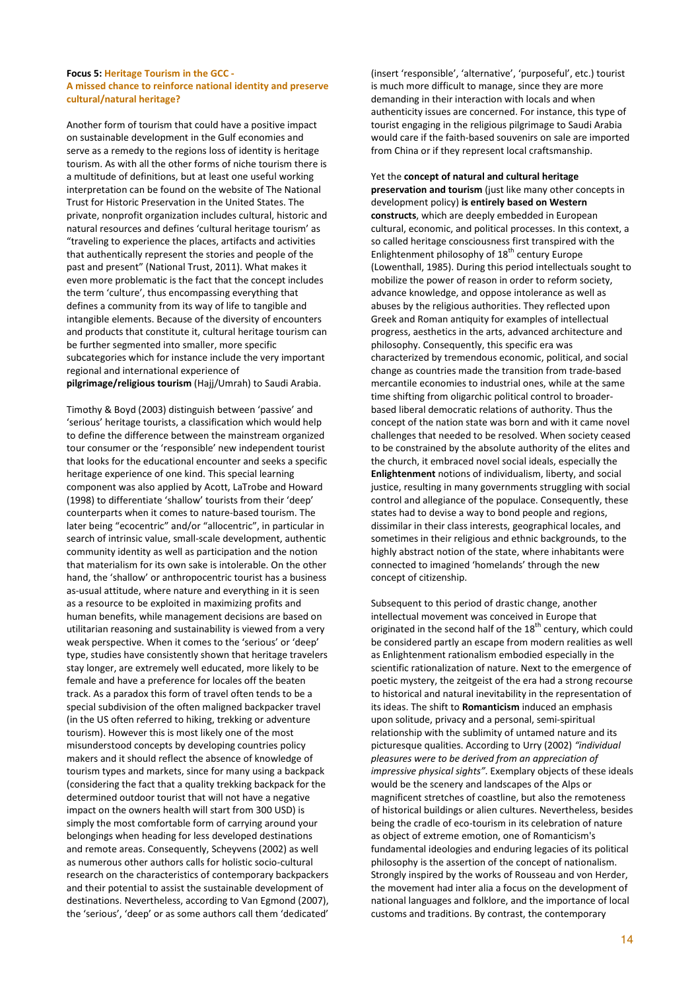#### Focus 5: Heritage Tourism in the GCC - A missed chance to reinforce national identity and preserve cultural/natural heritage?

Another form of tourism that could have a positive impact on sustainable development in the Gulf economies and serve as a remedy to the regions loss of identity is heritage tourism. As with all the other forms of niche tourism there is a multitude of definitions, but at least one useful working interpretation can be found on the website of The National Trust for Historic Preservation in the United States. The private, nonprofit organization includes cultural, historic and natural resources and defines 'cultural heritage tourism' as "traveling to experience the places, artifacts and activities that authentically represent the stories and people of the past and present" (National Trust, 2011). What makes it even more problematic is the fact that the concept includes the term 'culture', thus encompassing everything that defines a community from its way of life to tangible and intangible elements. Because of the diversity of encounters and products that constitute it, cultural heritage tourism can be further segmented into smaller, more specific subcategories which for instance include the very important regional and international experience of pilgrimage/religious tourism (Hajj/Umrah) to Saudi Arabia.

Timothy & Boyd (2003) distinguish between 'passive' and 'serious' heritage tourists, a classification which would help to define the difference between the mainstream organized tour consumer or the 'responsible' new independent tourist that looks for the educational encounter and seeks a specific heritage experience of one kind. This special learning component was also applied by Acott, LaTrobe and Howard (1998) to differentiate 'shallow' tourists from their 'deep' counterparts when it comes to nature-based tourism. The later being "ecocentric" and/or "allocentric", in particular in search of intrinsic value, small-scale development, authentic community identity as well as participation and the notion that materialism for its own sake is intolerable. On the other hand, the 'shallow' or anthropocentric tourist has a business as-usual attitude, where nature and everything in it is seen as a resource to be exploited in maximizing profits and human benefits, while management decisions are based on utilitarian reasoning and sustainability is viewed from a very weak perspective. When it comes to the 'serious' or 'deep' type, studies have consistently shown that heritage travelers stay longer, are extremely well educated, more likely to be female and have a preference for locales off the beaten track. As a paradox this form of travel often tends to be a special subdivision of the often maligned backpacker travel (in the US often referred to hiking, trekking or adventure tourism). However this is most likely one of the most misunderstood concepts by developing countries policy makers and it should reflect the absence of knowledge of tourism types and markets, since for many using a backpack (considering the fact that a quality trekking backpack for the determined outdoor tourist that will not have a negative impact on the owners health will start from 300 USD) is simply the most comfortable form of carrying around your belongings when heading for less developed destinations and remote areas. Consequently, Scheyvens (2002) as well as numerous other authors calls for holistic socio-cultural research on the characteristics of contemporary backpackers and their potential to assist the sustainable development of destinations. Nevertheless, according to Van Egmond (2007), the 'serious', 'deep' or as some authors call them 'dedicated'

(insert 'responsible', 'alternative', 'purposeful', etc.) tourist is much more difficult to manage, since they are more demanding in their interaction with locals and when authenticity issues are concerned. For instance, this type of tourist engaging in the religious pilgrimage to Saudi Arabia would care if the faith-based souvenirs on sale are imported from China or if they represent local craftsmanship.

Yet the concept of natural and cultural heritage preservation and tourism (just like many other concepts in development policy) is entirely based on Western constructs, which are deeply embedded in European cultural, economic, and political processes. In this context, a so called heritage consciousness first transpired with the Enlightenment philosophy of  $18<sup>th</sup>$  century Europe (Lowenthall, 1985). During this period intellectuals sought to mobilize the power of reason in order to reform society, advance knowledge, and oppose intolerance as well as abuses by the religious authorities. They reflected upon Greek and Roman antiquity for examples of intellectual progress, aesthetics in the arts, advanced architecture and philosophy. Consequently, this specific era was characterized by tremendous economic, political, and social change as countries made the transition from trade-based mercantile economies to industrial ones, while at the same time shifting from oligarchic political control to broaderbased liberal democratic relations of authority. Thus the concept of the nation state was born and with it came novel challenges that needed to be resolved. When society ceased to be constrained by the absolute authority of the elites and the church, it embraced novel social ideals, especially the Enlightenment notions of individualism, liberty, and social justice, resulting in many governments struggling with social control and allegiance of the populace. Consequently, these states had to devise a way to bond people and regions, dissimilar in their class interests, geographical locales, and sometimes in their religious and ethnic backgrounds, to the highly abstract notion of the state, where inhabitants were connected to imagined 'homelands' through the new concept of citizenship.

Subsequent to this period of drastic change, another intellectual movement was conceived in Europe that originated in the second half of the  $18<sup>th</sup>$  century, which could be considered partly an escape from modern realities as well as Enlightenment rationalism embodied especially in the scientific rationalization of nature. Next to the emergence of poetic mystery, the zeitgeist of the era had a strong recourse to historical and natural inevitability in the representation of its ideas. The shift to Romanticism induced an emphasis upon solitude, privacy and a personal, semi-spiritual relationship with the sublimity of untamed nature and its picturesque qualities. According to Urry (2002) "individual pleasures were to be derived from an appreciation of impressive physical sights". Exemplary objects of these ideals would be the scenery and landscapes of the Alps or magnificent stretches of coastline, but also the remoteness of historical buildings or alien cultures. Nevertheless, besides being the cradle of eco-tourism in its celebration of nature as object of extreme emotion, one of Romanticism's fundamental ideologies and enduring legacies of its political philosophy is the assertion of the concept of nationalism. Strongly inspired by the works of Rousseau and von Herder, the movement had inter alia a focus on the development of national languages and folklore, and the importance of local customs and traditions. By contrast, the contemporary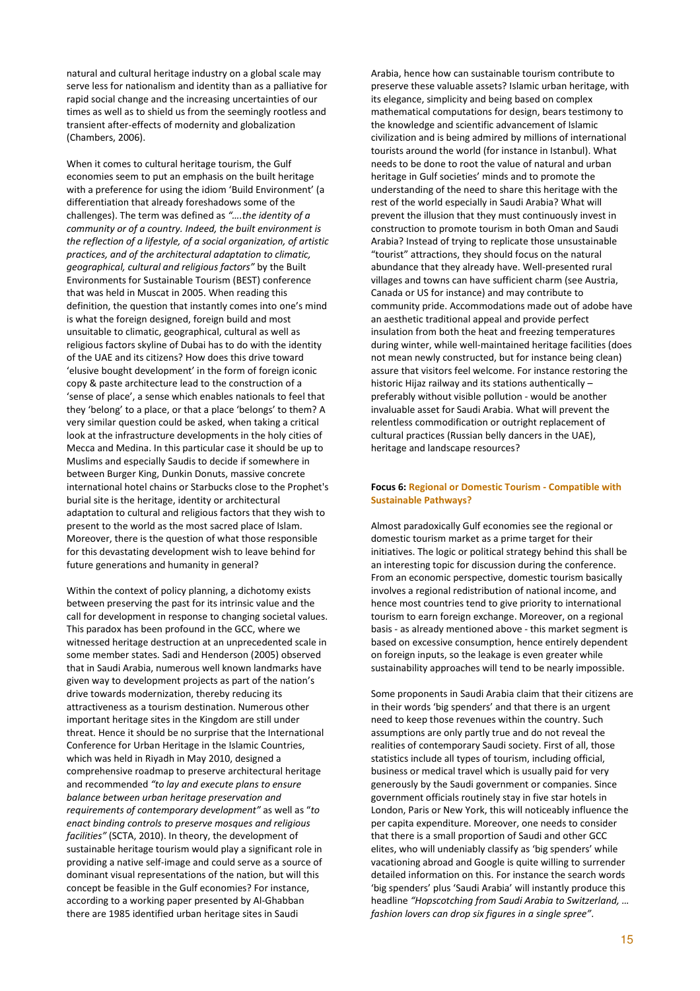natural and cultural heritage industry on a global scale may serve less for nationalism and identity than as a palliative for rapid social change and the increasing uncertainties of our times as well as to shield us from the seemingly rootless and transient after-effects of modernity and globalization (Chambers, 2006).

When it comes to cultural heritage tourism, the Gulf economies seem to put an emphasis on the built heritage with a preference for using the idiom 'Build Environment' (a differentiation that already foreshadows some of the challenges). The term was defined as "….the identity of a community or of a country. Indeed, the built environment is the reflection of a lifestyle, of a social organization, of artistic practices, and of the architectural adaptation to climatic, geographical, cultural and religious factors" by the Built Environments for Sustainable Tourism (BEST) conference that was held in Muscat in 2005. When reading this definition, the question that instantly comes into one's mind is what the foreign designed, foreign build and most unsuitable to climatic, geographical, cultural as well as religious factors skyline of Dubai has to do with the identity of the UAE and its citizens? How does this drive toward 'elusive bought development' in the form of foreign iconic copy & paste architecture lead to the construction of a 'sense of place', a sense which enables nationals to feel that they 'belong' to a place, or that a place 'belongs' to them? A very similar question could be asked, when taking a critical look at the infrastructure developments in the holy cities of Mecca and Medina. In this particular case it should be up to Muslims and especially Saudis to decide if somewhere in between Burger King, Dunkin Donuts, massive concrete international hotel chains or Starbucks close to the Prophet's burial site is the heritage, identity or architectural adaptation to cultural and religious factors that they wish to present to the world as the most sacred place of Islam. Moreover, there is the question of what those responsible for this devastating development wish to leave behind for future generations and humanity in general?

Within the context of policy planning, a dichotomy exists between preserving the past for its intrinsic value and the call for development in response to changing societal values. This paradox has been profound in the GCC, where we witnessed heritage destruction at an unprecedented scale in some member states. Sadi and Henderson (2005) observed that in Saudi Arabia, numerous well known landmarks have given way to development projects as part of the nation's drive towards modernization, thereby reducing its attractiveness as a tourism destination. Numerous other important heritage sites in the Kingdom are still under threat. Hence it should be no surprise that the International Conference for Urban Heritage in the Islamic Countries, which was held in Riyadh in May 2010, designed a comprehensive roadmap to preserve architectural heritage and recommended "to lay and execute plans to ensure balance between urban heritage preservation and requirements of contemporary development" as well as "to enact binding controls to preserve mosques and religious facilities" (SCTA, 2010). In theory, the development of sustainable heritage tourism would play a significant role in providing a native self-image and could serve as a source of dominant visual representations of the nation, but will this concept be feasible in the Gulf economies? For instance, according to a working paper presented by Al-Ghabban there are 1985 identified urban heritage sites in Saudi

Arabia, hence how can sustainable tourism contribute to preserve these valuable assets? Islamic urban heritage, with its elegance, simplicity and being based on complex mathematical computations for design, bears testimony to the knowledge and scientific advancement of Islamic civilization and is being admired by millions of international tourists around the world (for instance in Istanbul). What needs to be done to root the value of natural and urban heritage in Gulf societies' minds and to promote the understanding of the need to share this heritage with the rest of the world especially in Saudi Arabia? What will prevent the illusion that they must continuously invest in construction to promote tourism in both Oman and Saudi Arabia? Instead of trying to replicate those unsustainable "tourist" attractions, they should focus on the natural abundance that they already have. Well-presented rural villages and towns can have sufficient charm (see Austria, Canada or US for instance) and may contribute to community pride. Accommodations made out of adobe have an aesthetic traditional appeal and provide perfect insulation from both the heat and freezing temperatures during winter, while well-maintained heritage facilities (does not mean newly constructed, but for instance being clean) assure that visitors feel welcome. For instance restoring the historic Hijaz railway and its stations authentically preferably without visible pollution - would be another invaluable asset for Saudi Arabia. What will prevent the relentless commodification or outright replacement of cultural practices (Russian belly dancers in the UAE), heritage and landscape resources?

#### Focus 6: Regional or Domestic Tourism - Compatible with Sustainable Pathways?

Almost paradoxically Gulf economies see the regional or domestic tourism market as a prime target for their initiatives. The logic or political strategy behind this shall be an interesting topic for discussion during the conference. From an economic perspective, domestic tourism basically involves a regional redistribution of national income, and hence most countries tend to give priority to international tourism to earn foreign exchange. Moreover, on a regional basis - as already mentioned above - this market segment is based on excessive consumption, hence entirely dependent on foreign inputs, so the leakage is even greater while sustainability approaches will tend to be nearly impossible.

Some proponents in Saudi Arabia claim that their citizens are in their words 'big spenders' and that there is an urgent need to keep those revenues within the country. Such assumptions are only partly true and do not reveal the realities of contemporary Saudi society. First of all, those statistics include all types of tourism, including official, business or medical travel which is usually paid for very generously by the Saudi government or companies. Since government officials routinely stay in five star hotels in London, Paris or New York, this will noticeably influence the per capita expenditure. Moreover, one needs to consider that there is a small proportion of Saudi and other GCC elites, who will undeniably classify as 'big spenders' while vacationing abroad and Google is quite willing to surrender detailed information on this. For instance the search words 'big spenders' plus 'Saudi Arabia' will instantly produce this headline "Hopscotching from Saudi Arabia to Switzerland, … fashion lovers can drop six figures in a single spree".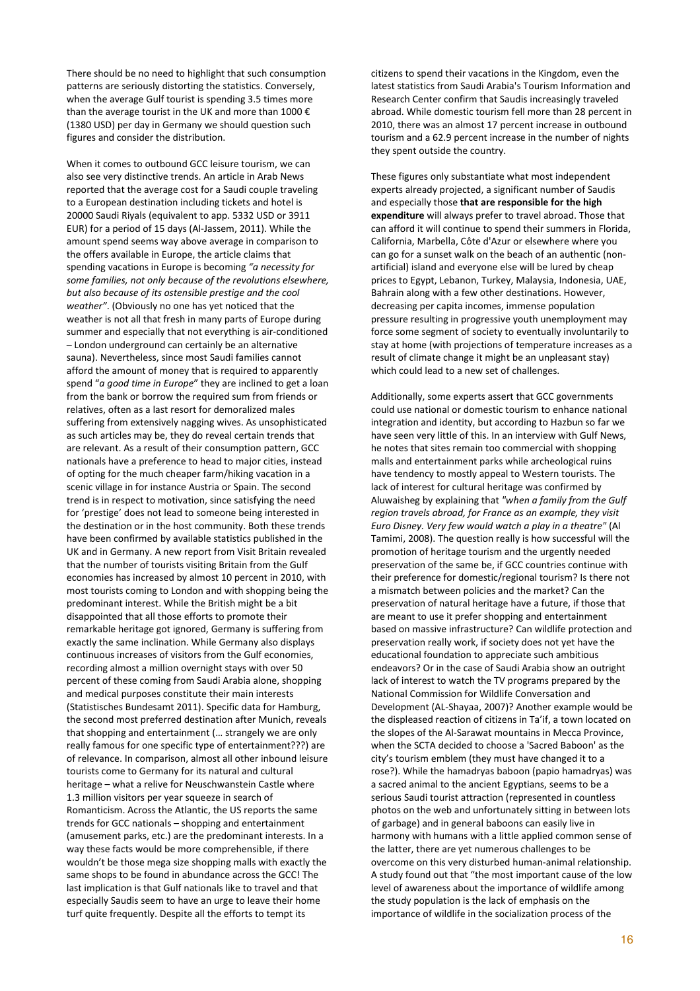There should be no need to highlight that such consumption patterns are seriously distorting the statistics. Conversely, when the average Gulf tourist is spending 3.5 times more than the average tourist in the UK and more than 1000  $\epsilon$ (1380 USD) per day in Germany we should question such figures and consider the distribution.

When it comes to outbound GCC leisure tourism, we can also see very distinctive trends. An article in Arab News reported that the average cost for a Saudi couple traveling to a European destination including tickets and hotel is 20000 Saudi Riyals (equivalent to app. 5332 USD or 3911 EUR) for a period of 15 days (Al-Jassem, 2011). While the amount spend seems way above average in comparison to the offers available in Europe, the article claims that spending vacations in Europe is becoming "a necessity for some families, not only because of the revolutions elsewhere, but also because of its ostensible prestige and the cool weather". (Obviously no one has yet noticed that the weather is not all that fresh in many parts of Europe during summer and especially that not everything is air-conditioned – London underground can certainly be an alternative sauna). Nevertheless, since most Saudi families cannot afford the amount of money that is required to apparently spend "a good time in Europe" they are inclined to get a loan from the bank or borrow the required sum from friends or relatives, often as a last resort for demoralized males suffering from extensively nagging wives. As unsophisticated as such articles may be, they do reveal certain trends that are relevant. As a result of their consumption pattern, GCC nationals have a preference to head to major cities, instead of opting for the much cheaper farm/hiking vacation in a scenic village in for instance Austria or Spain. The second trend is in respect to motivation, since satisfying the need for 'prestige' does not lead to someone being interested in the destination or in the host community. Both these trends have been confirmed by available statistics published in the UK and in Germany. A new report from Visit Britain revealed that the number of tourists visiting Britain from the Gulf economies has increased by almost 10 percent in 2010, with most tourists coming to London and with shopping being the predominant interest. While the British might be a bit disappointed that all those efforts to promote their remarkable heritage got ignored, Germany is suffering from exactly the same inclination. While Germany also displays continuous increases of visitors from the Gulf economies, recording almost a million overnight stays with over 50 percent of these coming from Saudi Arabia alone, shopping and medical purposes constitute their main interests (Statistisches Bundesamt 2011). Specific data for Hamburg, the second most preferred destination after Munich, reveals that shopping and entertainment (… strangely we are only really famous for one specific type of entertainment???) are of relevance. In comparison, almost all other inbound leisure tourists come to Germany for its natural and cultural heritage – what a relive for Neuschwanstein Castle where 1.3 million visitors per year squeeze in search of Romanticism. Across the Atlantic, the US reports the same trends for GCC nationals – shopping and entertainment (amusement parks, etc.) are the predominant interests. In a way these facts would be more comprehensible, if there wouldn't be those mega size shopping malls with exactly the same shops to be found in abundance across the GCC! The last implication is that Gulf nationals like to travel and that especially Saudis seem to have an urge to leave their home turf quite frequently. Despite all the efforts to tempt its

citizens to spend their vacations in the Kingdom, even the latest statistics from Saudi Arabia's Tourism Information and Research Center confirm that Saudis increasingly traveled abroad. While domestic tourism fell more than 28 percent in 2010, there was an almost 17 percent increase in outbound tourism and a 62.9 percent increase in the number of nights they spent outside the country.

These figures only substantiate what most independent experts already projected, a significant number of Saudis and especially those that are responsible for the high expenditure will always prefer to travel abroad. Those that can afford it will continue to spend their summers in Florida, California, Marbella, Côte d'Azur or elsewhere where you can go for a sunset walk on the beach of an authentic (nonartificial) island and everyone else will be lured by cheap prices to Egypt, Lebanon, Turkey, Malaysia, Indonesia, UAE, Bahrain along with a few other destinations. However, decreasing per capita incomes, immense population pressure resulting in progressive youth unemployment may force some segment of society to eventually involuntarily to stay at home (with projections of temperature increases as a result of climate change it might be an unpleasant stay) which could lead to a new set of challenges.

Additionally, some experts assert that GCC governments could use national or domestic tourism to enhance national integration and identity, but according to Hazbun so far we have seen very little of this. In an interview with Gulf News, he notes that sites remain too commercial with shopping malls and entertainment parks while archeological ruins have tendency to mostly appeal to Western tourists. The lack of interest for cultural heritage was confirmed by Aluwaisheg by explaining that "when a family from the Gulf region travels abroad, for France as an example, they visit Euro Disney. Very few would watch a play in a theatre" (Al Tamimi, 2008). The question really is how successful will the promotion of heritage tourism and the urgently needed preservation of the same be, if GCC countries continue with their preference for domestic/regional tourism? Is there not a mismatch between policies and the market? Can the preservation of natural heritage have a future, if those that are meant to use it prefer shopping and entertainment based on massive infrastructure? Can wildlife protection and preservation really work, if society does not yet have the educational foundation to appreciate such ambitious endeavors? Or in the case of Saudi Arabia show an outright lack of interest to watch the TV programs prepared by the National Commission for Wildlife Conversation and Development (AL-Shayaa, 2007)? Another example would be the displeased reaction of citizens in Ta'if, a town located on the slopes of the Al-Sarawat mountains in Mecca Province, when the SCTA decided to choose a 'Sacred Baboon' as the city's tourism emblem (they must have changed it to a rose?). While the hamadryas baboon (papio hamadryas) was a sacred animal to the ancient Egyptians, seems to be a serious Saudi tourist attraction (represented in countless photos on the web and unfortunately sitting in between lots of garbage) and in general baboons can easily live in harmony with humans with a little applied common sense of the latter, there are yet numerous challenges to be overcome on this very disturbed human-animal relationship. A study found out that "the most important cause of the low level of awareness about the importance of wildlife among the study population is the lack of emphasis on the importance of wildlife in the socialization process of the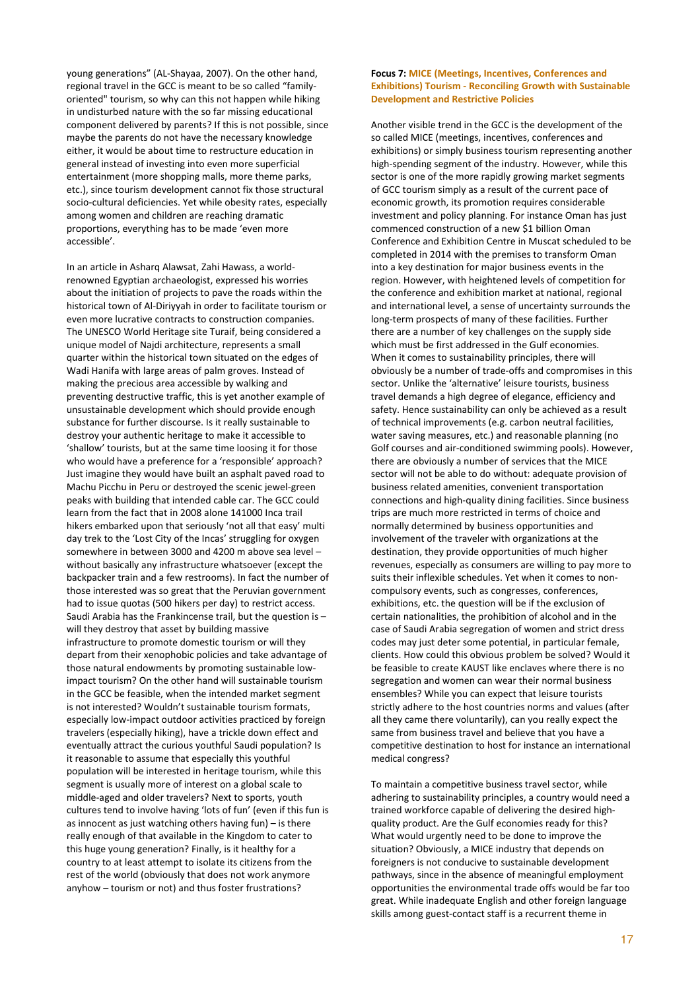young generations" (AL-Shayaa, 2007). On the other hand, regional travel in the GCC is meant to be so called "familyoriented" tourism, so why can this not happen while hiking in undisturbed nature with the so far missing educational component delivered by parents? If this is not possible, since maybe the parents do not have the necessary knowledge either, it would be about time to restructure education in general instead of investing into even more superficial entertainment (more shopping malls, more theme parks, etc.), since tourism development cannot fix those structural socio-cultural deficiencies. Yet while obesity rates, especially among women and children are reaching dramatic proportions, everything has to be made 'even more accessible'.

In an article in Asharq Alawsat, Zahi Hawass, a worldrenowned Egyptian archaeologist, expressed his worries about the initiation of projects to pave the roads within the historical town of Al-Diriyyah in order to facilitate tourism or even more lucrative contracts to construction companies. The UNESCO World Heritage site Turaif, being considered a unique model of Najdi architecture, represents a small quarter within the historical town situated on the edges of Wadi Hanifa with large areas of palm groves. Instead of making the precious area accessible by walking and preventing destructive traffic, this is yet another example of unsustainable development which should provide enough substance for further discourse. Is it really sustainable to destroy your authentic heritage to make it accessible to 'shallow' tourists, but at the same time loosing it for those who would have a preference for a 'responsible' approach? Just imagine they would have built an asphalt paved road to Machu Picchu in Peru or destroyed the scenic jewel-green peaks with building that intended cable car. The GCC could learn from the fact that in 2008 alone 141000 Inca trail hikers embarked upon that seriously 'not all that easy' multi day trek to the 'Lost City of the Incas' struggling for oxygen somewhere in between 3000 and 4200 m above sea level – without basically any infrastructure whatsoever (except the backpacker train and a few restrooms). In fact the number of those interested was so great that the Peruvian government had to issue quotas (500 hikers per day) to restrict access. Saudi Arabia has the Frankincense trail, but the question is – will they destroy that asset by building massive infrastructure to promote domestic tourism or will they depart from their xenophobic policies and take advantage of those natural endowments by promoting sustainable lowimpact tourism? On the other hand will sustainable tourism in the GCC be feasible, when the intended market segment is not interested? Wouldn't sustainable tourism formats, especially low-impact outdoor activities practiced by foreign travelers (especially hiking), have a trickle down effect and eventually attract the curious youthful Saudi population? Is it reasonable to assume that especially this youthful population will be interested in heritage tourism, while this segment is usually more of interest on a global scale to middle-aged and older travelers? Next to sports, youth cultures tend to involve having 'lots of fun' (even if this fun is as innocent as just watching others having fun) – is there really enough of that available in the Kingdom to cater to this huge young generation? Finally, is it healthy for a country to at least attempt to isolate its citizens from the rest of the world (obviously that does not work anymore anyhow – tourism or not) and thus foster frustrations?

## Focus 7: MICE (Meetings, Incentives, Conferences and Exhibitions) Tourism - Reconciling Growth with Sustainable Development and Restrictive Policies

Another visible trend in the GCC is the development of the so called MICE (meetings, incentives, conferences and exhibitions) or simply business tourism representing another high-spending segment of the industry. However, while this sector is one of the more rapidly growing market segments of GCC tourism simply as a result of the current pace of economic growth, its promotion requires considerable investment and policy planning. For instance Oman has just commenced construction of a new \$1 billion Oman Conference and Exhibition Centre in Muscat scheduled to be completed in 2014 with the premises to transform Oman into a key destination for major business events in the region. However, with heightened levels of competition for the conference and exhibition market at national, regional and international level, a sense of uncertainty surrounds the long-term prospects of many of these facilities. Further there are a number of key challenges on the supply side which must be first addressed in the Gulf economies. When it comes to sustainability principles, there will obviously be a number of trade-offs and compromises in this sector. Unlike the 'alternative' leisure tourists, business travel demands a high degree of elegance, efficiency and safety. Hence sustainability can only be achieved as a result of technical improvements (e.g. carbon neutral facilities, water saving measures, etc.) and reasonable planning (no Golf courses and air-conditioned swimming pools). However, there are obviously a number of services that the MICE sector will not be able to do without: adequate provision of business related amenities, convenient transportation connections and high-quality dining facilities. Since business trips are much more restricted in terms of choice and normally determined by business opportunities and involvement of the traveler with organizations at the destination, they provide opportunities of much higher revenues, especially as consumers are willing to pay more to suits their inflexible schedules. Yet when it comes to noncompulsory events, such as congresses, conferences, exhibitions, etc. the question will be if the exclusion of certain nationalities, the prohibition of alcohol and in the case of Saudi Arabia segregation of women and strict dress codes may just deter some potential, in particular female, clients. How could this obvious problem be solved? Would it be feasible to create KAUST like enclaves where there is no segregation and women can wear their normal business ensembles? While you can expect that leisure tourists strictly adhere to the host countries norms and values (after all they came there voluntarily), can you really expect the same from business travel and believe that you have a competitive destination to host for instance an international medical congress?

To maintain a competitive business travel sector, while adhering to sustainability principles, a country would need a trained workforce capable of delivering the desired highquality product. Are the Gulf economies ready for this? What would urgently need to be done to improve the situation? Obviously, a MICE industry that depends on foreigners is not conducive to sustainable development pathways, since in the absence of meaningful employment opportunities the environmental trade offs would be far too great. While inadequate English and other foreign language skills among guest-contact staff is a recurrent theme in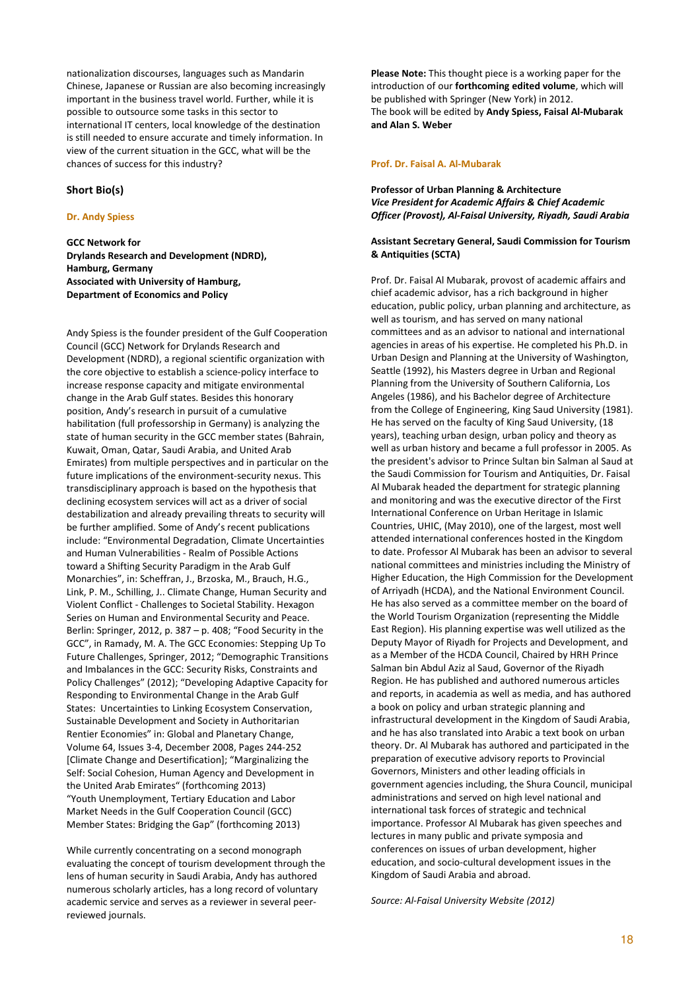nationalization discourses, languages such as Mandarin Chinese, Japanese or Russian are also becoming increasingly important in the business travel world. Further, while it is possible to outsource some tasks in this sector to international IT centers, local knowledge of the destination is still needed to ensure accurate and timely information. In view of the current situation in the GCC, what will be the chances of success for this industry?

#### Short Bio(s)

#### Dr. Andy Spiess

GCC Network for Drylands Research and Development (NDRD), Hamburg, Germany Associated with University of Hamburg, Department of Economics and Policy

Andy Spiess is the founder president of the Gulf Cooperation Council (GCC) Network for Drylands Research and Development (NDRD), a regional scientific organization with the core objective to establish a science-policy interface to increase response capacity and mitigate environmental change in the Arab Gulf states. Besides this honorary position, Andy's research in pursuit of a cumulative habilitation (full professorship in Germany) is analyzing the state of human security in the GCC member states (Bahrain, Kuwait, Oman, Qatar, Saudi Arabia, and United Arab Emirates) from multiple perspectives and in particular on the future implications of the environment-security nexus. This transdisciplinary approach is based on the hypothesis that declining ecosystem services will act as a driver of social destabilization and already prevailing threats to security will be further amplified. Some of Andy's recent publications include: "Environmental Degradation, Climate Uncertainties and Human Vulnerabilities - Realm of Possible Actions toward a Shifting Security Paradigm in the Arab Gulf Monarchies", in: Scheffran, J., Brzoska, M., Brauch, H.G., Link, P. M., Schilling, J.. Climate Change, Human Security and Violent Conflict - Challenges to Societal Stability. Hexagon Series on Human and Environmental Security and Peace. Berlin: Springer, 2012, p. 387 – p. 408; "Food Security in the GCC", in Ramady, M. A. The GCC Economies: Stepping Up To Future Challenges, Springer, 2012; "Demographic Transitions and Imbalances in the GCC: Security Risks, Constraints and Policy Challenges" (2012); "Developing Adaptive Capacity for Responding to Environmental Change in the Arab Gulf States: Uncertainties to Linking Ecosystem Conservation, Sustainable Development and Society in Authoritarian Rentier Economies" in: Global and Planetary Change, Volume 64, Issues 3-4, December 2008, Pages 244-252 [Climate Change and Desertification]; "Marginalizing the Self: Social Cohesion, Human Agency and Development in the United Arab Emirates" (forthcoming 2013) "Youth Unemployment, Tertiary Education and Labor Market Needs in the Gulf Cooperation Council (GCC) Member States: Bridging the Gap" (forthcoming 2013)

While currently concentrating on a second monograph evaluating the concept of tourism development through the lens of human security in Saudi Arabia, Andy has authored numerous scholarly articles, has a long record of voluntary academic service and serves as a reviewer in several peerreviewed journals.

Please Note: This thought piece is a working paper for the introduction of our **forthcoming edited volume**, which will be published with Springer (New York) in 2012. The book will be edited by Andy Spiess, Faisal Al-Mubarak and Alan S. Weber

#### Prof. Dr. Faisal A. Al-Mubarak

# Professor of Urban Planning & Architecture Vice President for Academic Affairs & Chief Academic Officer (Provost), Al-Faisal University, Riyadh, Saudi Arabia

#### Assistant Secretary General, Saudi Commission for Tourism & Antiquities (SCTA)

Prof. Dr. Faisal Al Mubarak, provost of academic affairs and chief academic advisor, has a rich background in higher education, public policy, urban planning and architecture, as well as tourism, and has served on many national committees and as an advisor to national and international agencies in areas of his expertise. He completed his Ph.D. in Urban Design and Planning at the University of Washington, Seattle (1992), his Masters degree in Urban and Regional Planning from the University of Southern California, Los Angeles (1986), and his Bachelor degree of Architecture from the College of Engineering, King Saud University (1981). He has served on the faculty of King Saud University, (18 years), teaching urban design, urban policy and theory as well as urban history and became a full professor in 2005. As the president's advisor to Prince Sultan bin Salman al Saud at the Saudi Commission for Tourism and Antiquities, Dr. Faisal Al Mubarak headed the department for strategic planning and monitoring and was the executive director of the First International Conference on Urban Heritage in Islamic Countries, UHIC, (May 2010), one of the largest, most well attended international conferences hosted in the Kingdom to date. Professor Al Mubarak has been an advisor to several national committees and ministries including the Ministry of Higher Education, the High Commission for the Development of Arriyadh (HCDA), and the National Environment Council. He has also served as a committee member on the board of the World Tourism Organization (representing the Middle East Region). His planning expertise was well utilized as the Deputy Mayor of Riyadh for Projects and Development, and as a Member of the HCDA Council, Chaired by HRH Prince Salman bin Abdul Aziz al Saud, Governor of the Riyadh Region. He has published and authored numerous articles and reports, in academia as well as media, and has authored a book on policy and urban strategic planning and infrastructural development in the Kingdom of Saudi Arabia, and he has also translated into Arabic a text book on urban theory. Dr. Al Mubarak has authored and participated in the preparation of executive advisory reports to Provincial Governors, Ministers and other leading officials in government agencies including, the Shura Council, municipal administrations and served on high level national and international task forces of strategic and technical importance. Professor Al Mubarak has given speeches and lectures in many public and private symposia and conferences on issues of urban development, higher education, and socio-cultural development issues in the Kingdom of Saudi Arabia and abroad.

Source: Al-Faisal University Website (2012)